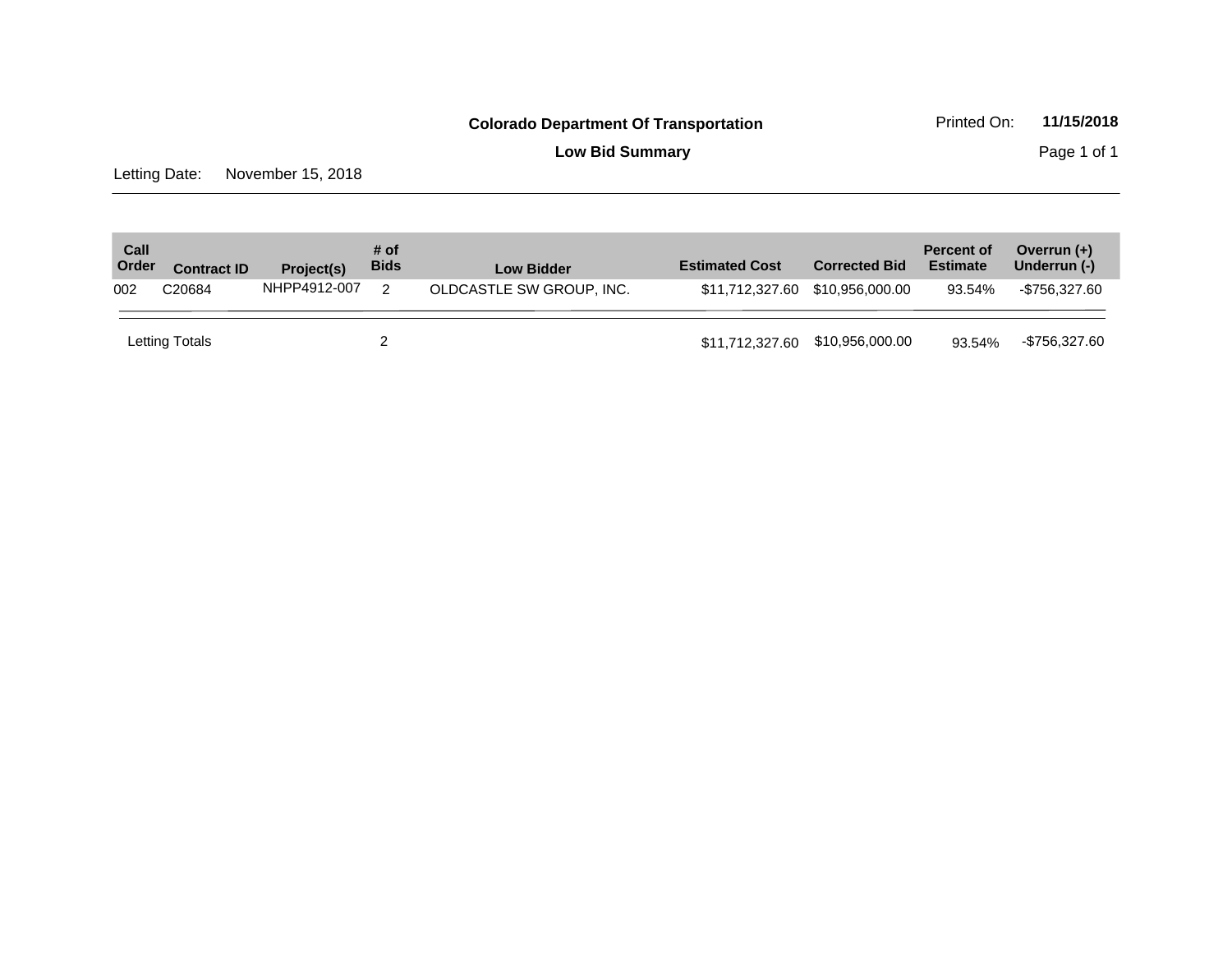**Low Bid Summary** Page 1 of 1

Letting Date: November 15, 2018

| Call<br>Order | <b>Contract ID</b> | Project(s)   | # of<br><b>Bids</b> | <b>Low Bidder</b>        | <b>Estimated Cost</b>           | <b>Corrected Bid</b> | <b>Percent of</b><br><b>Estimate</b> | Overrun $(+)$<br>Underrun (-) |
|---------------|--------------------|--------------|---------------------|--------------------------|---------------------------------|----------------------|--------------------------------------|-------------------------------|
| 002           | C20684             | NHPP4912-007 |                     | OLDCASTLE SW GROUP, INC. |                                 |                      | 93.54%                               | -\$756.327.60                 |
|               | Letting Totals     |              |                     |                          | \$11,712,327.60 \$10,956,000.00 |                      | 93.54%                               | -\$756,327.60                 |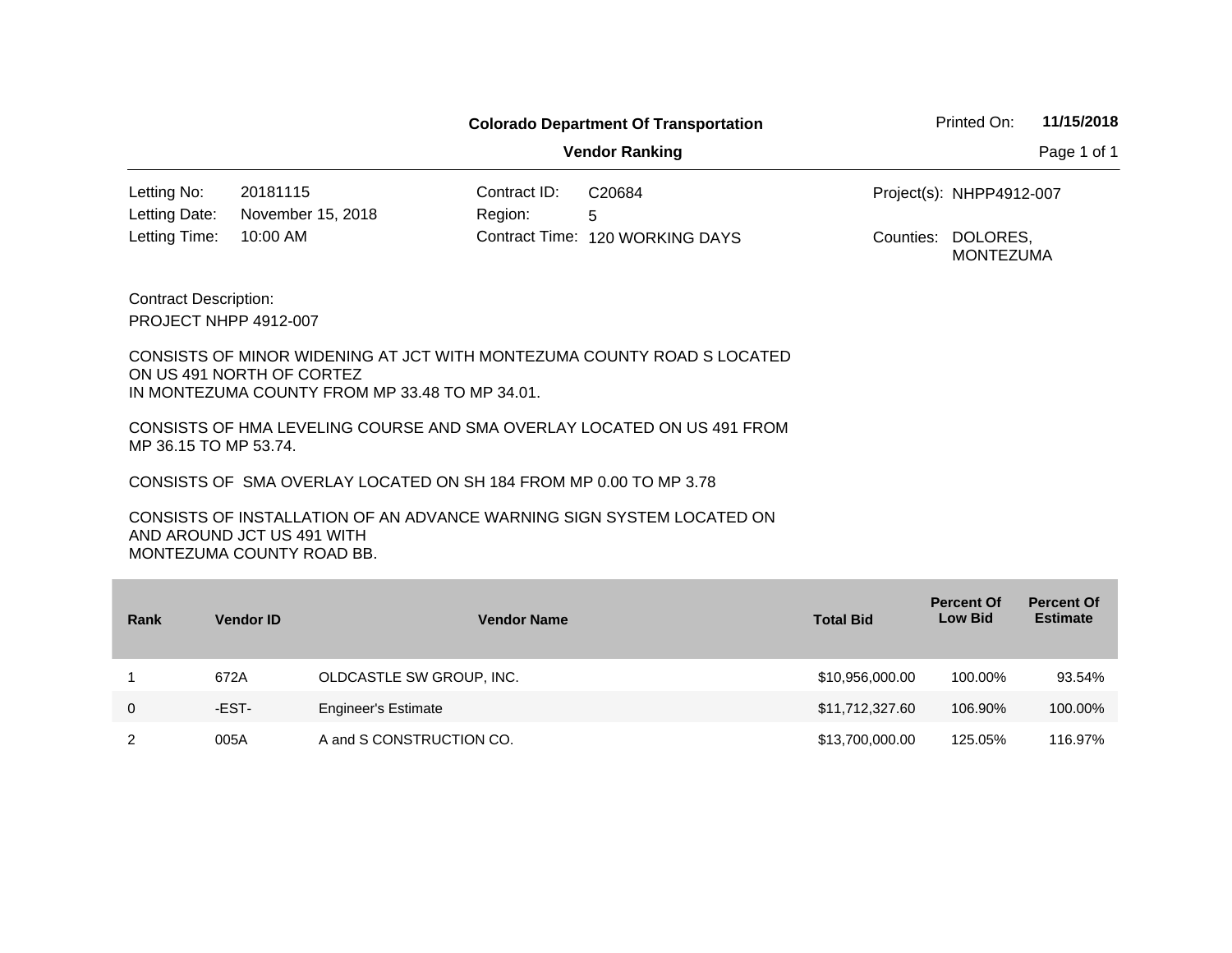**Vendor Ranking** Page 1 of 1

Contract ID: 20181115 C20684 10:00 AM Contract Time: 120 WORKING DAYS Counties: DOLORES, Letting Date: November 15, 2018 The Region: 5 Project(s): Letting No: NHPP4912-007 Letting Time:

Contract Description: PROJECT NHPP 4912-007

CONSISTS OF MINOR WIDENING AT JCT WITH MONTEZUMA COUNTY ROAD S LOCATED ON US 491 NORTH OF CORTEZ IN MONTEZUMA COUNTY FROM MP 33.48 TO MP 34.01.

CONSISTS OF HMA LEVELING COURSE AND SMA OVERLAY LOCATED ON US 491 FROM MP 36.15 TO MP 53.74.

CONSISTS OF SMA OVERLAY LOCATED ON SH 184 FROM MP 0.00 TO MP 3.78

CONSISTS OF INSTALLATION OF AN ADVANCE WARNING SIGN SYSTEM LOCATED ON AND AROUND JCT US 491 WITH MONTEZUMA COUNTY ROAD BB.

| Rank        | <b>Vendor ID</b> | <b>Vendor Name</b>         | <b>Total Bid</b> | <b>Percent Of</b><br><b>Low Bid</b> | <b>Percent Of</b><br><b>Estimate</b> |
|-------------|------------------|----------------------------|------------------|-------------------------------------|--------------------------------------|
|             | 672A             | OLDCASTLE SW GROUP, INC.   | \$10,956,000.00  | 100.00%                             | 93.54%                               |
| $\mathbf 0$ | -EST-            | <b>Engineer's Estimate</b> | \$11,712,327.60  | 106.90%                             | 100.00%                              |
|             | 005A             | A and S CONSTRUCTION CO.   | \$13,700,000.00  | 125.05%                             | 116.97%                              |

MONTEZUMA Counties: DOLORES,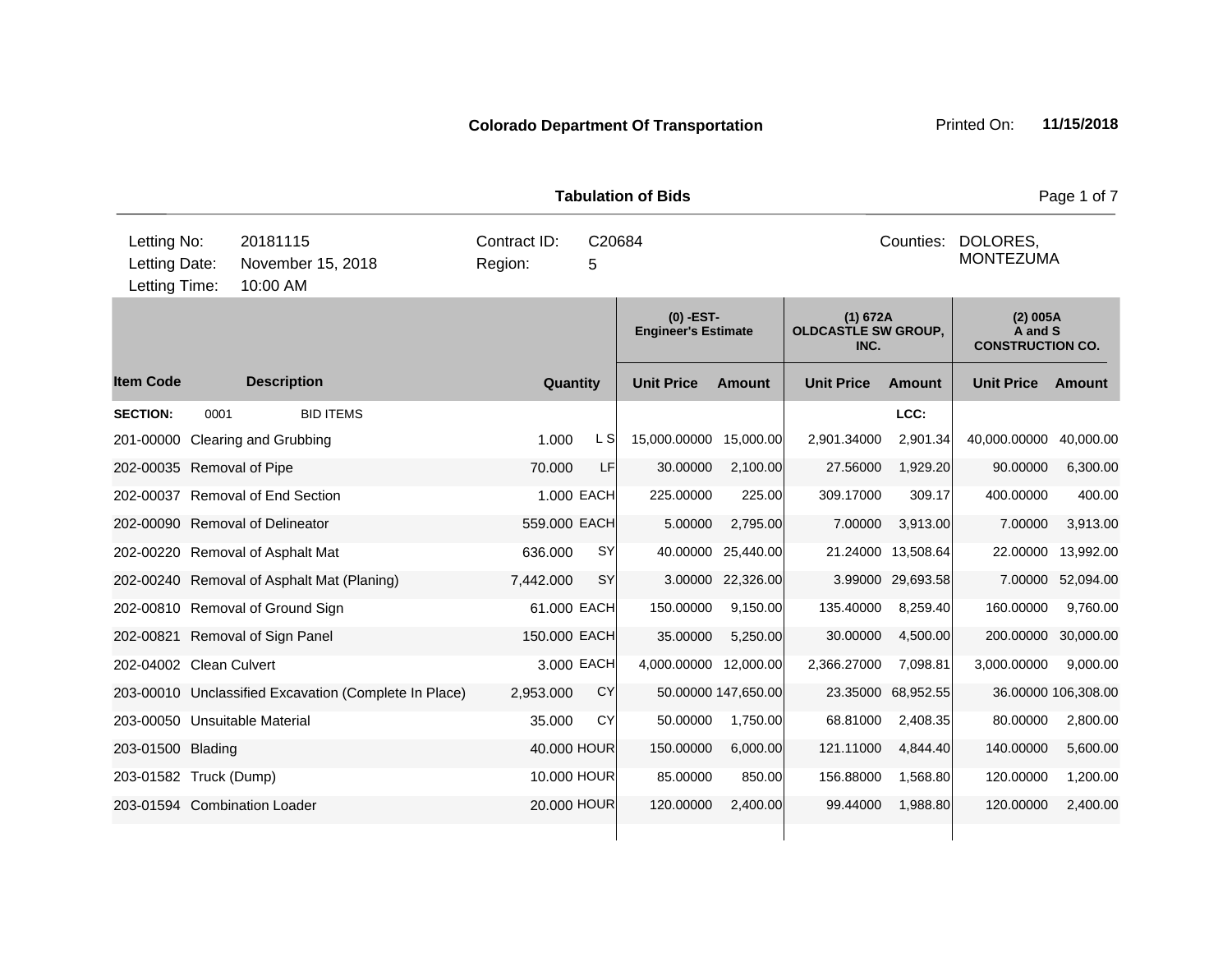|                                               |      |                                                       |                                                     |                | i avuiauvii vi pius                       |                     |                                                |           |                                                | rayo rur <i>r</i>   |  |
|-----------------------------------------------|------|-------------------------------------------------------|-----------------------------------------------------|----------------|-------------------------------------------|---------------------|------------------------------------------------|-----------|------------------------------------------------|---------------------|--|
| Letting No:<br>Letting Date:<br>Letting Time: |      | 20181115<br>November 15, 2018<br>10:00 AM             | Contract ID:<br>C20684<br>Counties:<br>5<br>Region: |                |                                           |                     |                                                |           | DOLORES.<br><b>MONTEZUMA</b>                   |                     |  |
|                                               |      |                                                       |                                                     |                | $(0)$ -EST-<br><b>Engineer's Estimate</b> |                     | (1) 672A<br><b>OLDCASTLE SW GROUP,</b><br>INC. |           | (2) 005A<br>A and S<br><b>CONSTRUCTION CO.</b> |                     |  |
| <b>Item Code</b>                              |      | <b>Description</b>                                    | Quantity                                            |                | <b>Unit Price</b>                         | <b>Amount</b>       | <b>Unit Price</b>                              | Amount    | <b>Unit Price</b>                              | Amount              |  |
| <b>SECTION:</b>                               | 0001 | <b>BID ITEMS</b>                                      |                                                     |                |                                           |                     |                                                | LCC:      |                                                |                     |  |
| 201-00000                                     |      | Clearing and Grubbing                                 | 1.000                                               | L <sub>S</sub> | 15,000.00000                              | 15,000.00           | 2,901.34000                                    | 2,901.34  | 40,000.00000                                   | 40,000.00           |  |
| 202-00035 Removal of Pipe                     |      |                                                       | 70.000                                              | LF             | 30.00000                                  | 2,100.00            | 27.56000                                       | 1,929.20  | 90.00000                                       | 6,300.00            |  |
|                                               |      | 202-00037 Removal of End Section                      |                                                     | 1.000 EACH     | 225.00000                                 | 225.00              | 309.17000                                      | 309.17    | 400.00000                                      | 400.00              |  |
|                                               |      | 202-00090 Removal of Delineator                       | 559.000 EACH                                        |                | 5.00000                                   | 2,795.00            | 7.00000                                        | 3,913.00  | 7.00000                                        | 3,913.00            |  |
|                                               |      | 202-00220 Removal of Asphalt Mat                      | 636.000                                             | <b>SY</b>      | 40.00000                                  | 25,440.00           | 21.24000                                       | 13,508.64 | 22.00000                                       | 13,992.00           |  |
|                                               |      | 202-00240 Removal of Asphalt Mat (Planing)            | 7,442.000                                           | SY             | 3.00000                                   | 22,326.00           | 3.99000                                        | 29,693.58 | 7.00000                                        | 52,094.00           |  |
|                                               |      | 202-00810 Removal of Ground Sign                      | 61.000 EACH                                         |                | 150.00000                                 | 9,150.00            | 135.40000                                      | 8,259.40  | 160.00000                                      | 9,760.00            |  |
|                                               |      | 202-00821 Removal of Sign Panel                       | 150.000 EACH                                        |                | 35.00000                                  | 5,250.00            | 30.00000                                       | 4,500.00  | 200.00000                                      | 30,000.00           |  |
| 202-04002 Clean Culvert                       |      |                                                       |                                                     | 3.000 EACH     | 4,000.00000                               | 12,000.00           | 2,366.27000                                    | 7,098.81  | 3,000.00000                                    | 9,000.00            |  |
|                                               |      | 203-00010 Unclassified Excavation (Complete In Place) | 2,953.000                                           | CY             |                                           | 50.00000 147,650.00 | 23.35000                                       | 68,952.55 |                                                | 36.00000 106,308.00 |  |
|                                               |      | 203-00050 Unsuitable Material                         | 35.000                                              | CY             | 50.00000                                  | 1,750.00            | 68.81000                                       | 2,408.35  | 80.00000                                       | 2,800.00            |  |
| 203-01500 Blading                             |      |                                                       | 40.000 HOUR                                         |                | 150.00000                                 | 6,000.00            | 121.11000                                      | 4,844.40  | 140.00000                                      | 5,600.00            |  |
| 203-01582 Truck (Dump)                        |      |                                                       |                                                     | 10.000 HOUR    | 85.00000                                  | 850.00              | 156.88000                                      | 1,568.80  | 120.00000                                      | 1,200.00            |  |
|                                               |      | 203-01594 Combination Loader                          |                                                     | 20.000 HOUR    | 120.00000                                 | 2,400.00            | 99.44000                                       | 1,988.80  | 120.00000                                      | 2,400.00            |  |
|                                               |      |                                                       |                                                     |                |                                           |                     |                                                |           |                                                |                     |  |

**Tabulation of Bids Page 1 of 7**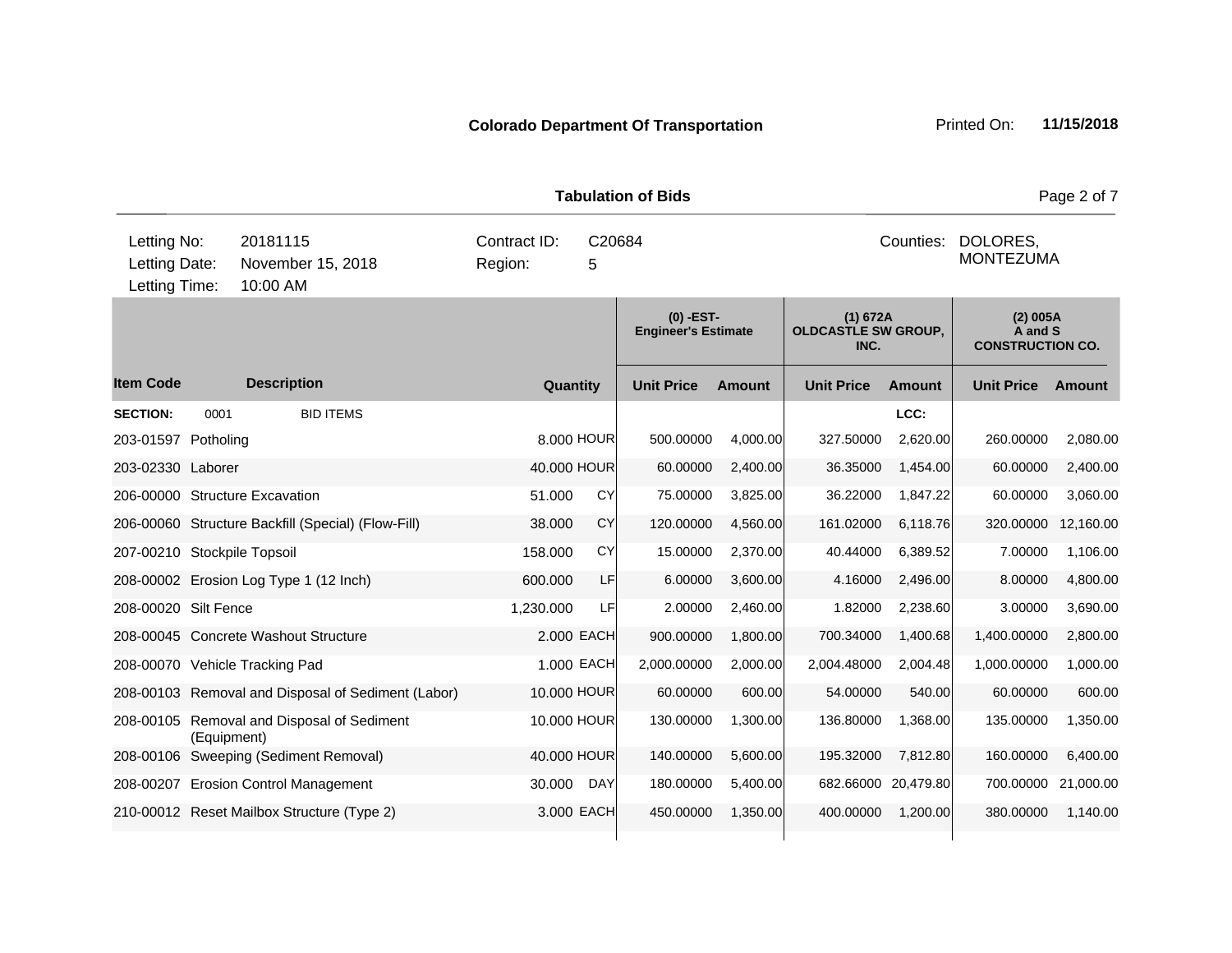|                                               |             |                                                    |                                                     |            | uiuuvii vi pius                         |               |                                                |           |                                                | $1$ agu $2$ VI 1 |  |
|-----------------------------------------------|-------------|----------------------------------------------------|-----------------------------------------------------|------------|-----------------------------------------|---------------|------------------------------------------------|-----------|------------------------------------------------|------------------|--|
| Letting No:<br>Letting Date:<br>Letting Time: |             | 20181115<br>November 15, 2018<br>10:00 AM          | C20684<br>Counties:<br>Contract ID:<br>Region:<br>5 |            |                                         |               |                                                |           | DOLORES,<br><b>MONTEZUMA</b>                   |                  |  |
|                                               |             |                                                    |                                                     |            | (0) -EST-<br><b>Engineer's Estimate</b> |               | (1) 672A<br><b>OLDCASTLE SW GROUP,</b><br>INC. |           | (2) 005A<br>A and S<br><b>CONSTRUCTION CO.</b> |                  |  |
| <b>Item Code</b>                              |             | <b>Description</b>                                 | Quantity                                            |            | <b>Unit Price</b>                       | <b>Amount</b> | <b>Unit Price</b>                              | Amount    | <b>Unit Price</b>                              | Amount           |  |
| <b>SECTION:</b>                               | 0001        | <b>BID ITEMS</b>                                   |                                                     |            |                                         |               |                                                | LCC:      |                                                |                  |  |
| 203-01597 Potholing                           |             |                                                    |                                                     | 8.000 HOUR | 500.00000                               | 4,000.00      | 327.50000                                      | 2,620.00  | 260.00000                                      | 2,080.00         |  |
| 203-02330 Laborer                             |             |                                                    | 40.000 HOUR                                         |            | 60.00000                                | 2,400.00      | 36.35000                                       | 1,454.00  | 60.00000                                       | 2,400.00         |  |
|                                               |             | 206-00000 Structure Excavation                     | 51.000                                              | CY         | 75.00000                                | 3,825.00      | 36.22000                                       | 1,847.22  | 60.00000                                       | 3,060.00         |  |
|                                               |             | 206-00060 Structure Backfill (Special) (Flow-Fill) | 38.000                                              | CY         | 120.00000                               | 4,560.00      | 161.02000                                      | 6,118.76  | 320.00000                                      | 12,160.00        |  |
| 207-00210 Stockpile Topsoil                   |             |                                                    | 158.000                                             | CY         | 15.00000                                | 2,370.00      | 40.44000                                       | 6,389.52  | 7.00000                                        | 1,106.00         |  |
|                                               |             | 208-00002 Erosion Log Type 1 (12 Inch)             | 600.000                                             | LF         | 6.00000                                 | 3,600.00      | 4.16000                                        | 2,496.00  | 8.00000                                        | 4,800.00         |  |
| 208-00020 Silt Fence                          |             |                                                    | 1,230.000                                           | LFI        | 2.00000                                 | 2,460.00      | 1.82000                                        | 2,238.60  | 3.00000                                        | 3,690.00         |  |
|                                               |             | 208-00045 Concrete Washout Structure               |                                                     | 2.000 EACH | 900.00000                               | 1,800.00      | 700.34000                                      | 1,400.68  | 1,400.00000                                    | 2,800.00         |  |
|                                               |             | 208-00070 Vehicle Tracking Pad                     |                                                     | 1.000 EACH | 2,000.00000                             | 2,000.00      | 2,004.48000                                    | 2,004.48  | 1,000.00000                                    | 1,000.00         |  |
|                                               |             | 208-00103 Removal and Disposal of Sediment (Labor) | 10.000 HOUR                                         |            | 60.00000                                | 600.00        | 54.00000                                       | 540.00    | 60.00000                                       | 600.00           |  |
|                                               | (Equipment) | 208-00105 Removal and Disposal of Sediment         | 10.000 HOUR                                         |            | 130.00000                               | 1,300.00      | 136.80000                                      | 1,368.00  | 135.00000                                      | 1,350.00         |  |
|                                               |             | 208-00106 Sweeping (Sediment Removal)              | 40.000 HOUR                                         |            | 140.00000                               | 5,600.00      | 195.32000                                      | 7,812.80  | 160.00000                                      | 6,400.00         |  |
|                                               |             | 208-00207 Erosion Control Management               | 30.000                                              | <b>DAY</b> | 180.00000                               | 5,400.00      | 682.66000                                      | 20,479.80 | 700.00000                                      | 21,000.00        |  |
|                                               |             | 210-00012 Reset Mailbox Structure (Type 2)         |                                                     | 3.000 EACH | 450.00000                               | 1,350.00      | 400.00000                                      | 1,200.00  | 380.00000                                      | 1,140.00         |  |

**Tabulation of Bids Page 2 of 7**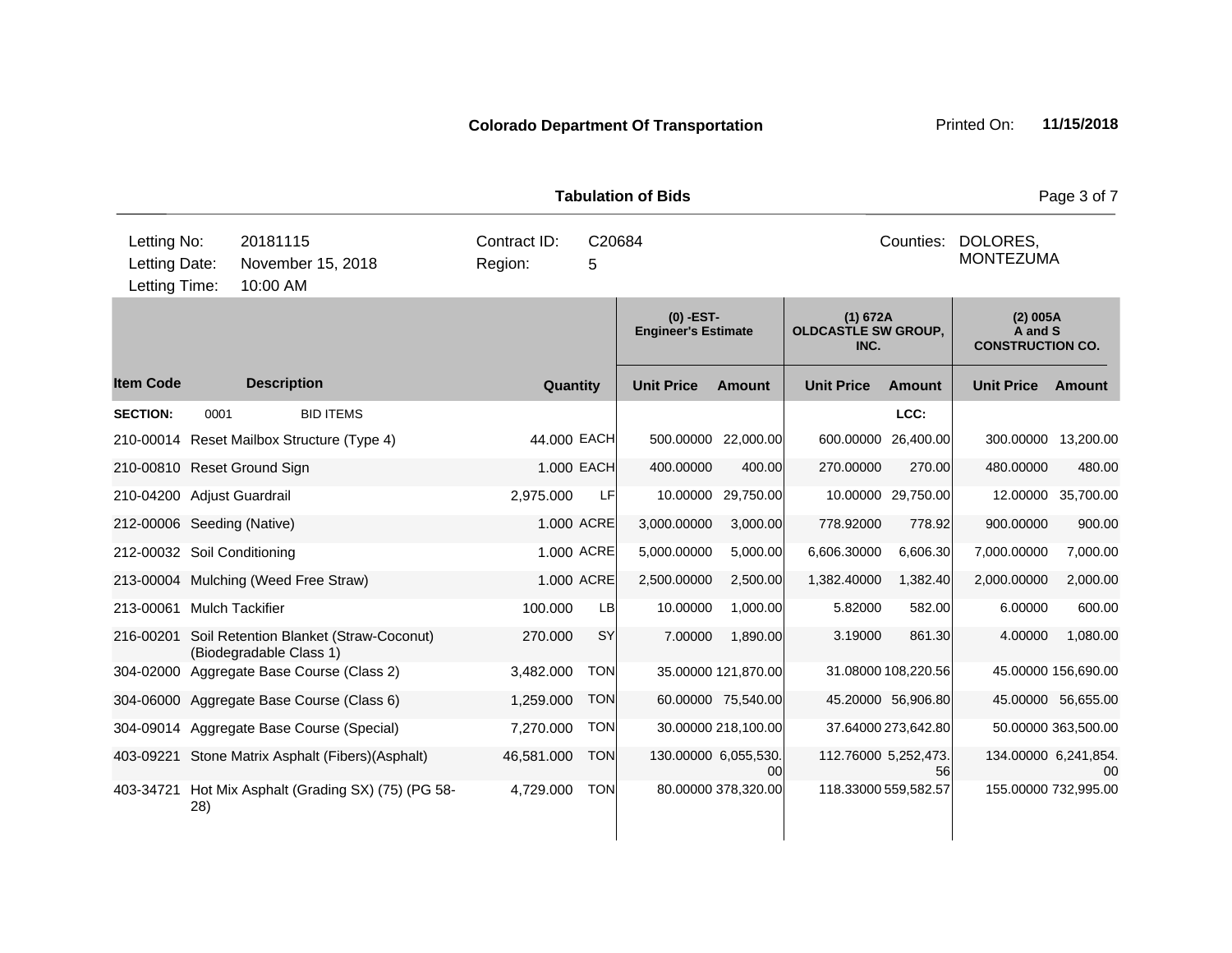|                                               |      |                                                   |                                           |             |             | <b>Tabulation of Bids</b>                 |                            |                                                |                              |                                                  | Page 3 of 7                |
|-----------------------------------------------|------|---------------------------------------------------|-------------------------------------------|-------------|-------------|-------------------------------------------|----------------------------|------------------------------------------------|------------------------------|--------------------------------------------------|----------------------------|
| Letting No:<br>Letting Date:<br>Letting Time: |      | 20181115<br>November 15, 2018<br>10:00 AM         | Contract ID:<br>Region:                   | C20684<br>5 |             |                                           |                            | Counties:                                      | DOLORES,<br><b>MONTEZUMA</b> |                                                  |                            |
|                                               |      |                                                   |                                           |             |             | $(0)$ -EST-<br><b>Engineer's Estimate</b> |                            | (1) 672A<br><b>OLDCASTLE SW GROUP,</b><br>INC. |                              | $(2)$ 005A<br>A and S<br><b>CONSTRUCTION CO.</b> |                            |
| <b>Item Code</b>                              |      | <b>Description</b>                                |                                           |             | Quantity    | <b>Unit Price</b>                         | <b>Amount</b>              | <b>Unit Price</b>                              | <b>Amount</b>                | <b>Unit Price</b>                                | Amount                     |
| <b>SECTION:</b>                               | 0001 |                                                   | <b>BID ITEMS</b>                          |             |             |                                           |                            |                                                | LCC:                         |                                                  |                            |
|                                               |      | 210-00014 Reset Mailbox Structure (Type 4)        |                                           |             | 44.000 EACH | 500.00000                                 | 22,000.00                  | 600.00000                                      | 26,400.00                    | 300.00000                                        | 13,200.00                  |
|                                               |      | 210-00810 Reset Ground Sign                       |                                           |             | 1.000 EACH  | 400.00000                                 | 400.00                     | 270.00000                                      | 270.00                       | 480.00000                                        | 480.00                     |
| 210-04200 Adjust Guardrail                    |      |                                                   |                                           | 2,975.000   | LFI         | 10.00000                                  | 29,750.00                  |                                                | 10.00000 29,750.00           | 12.00000                                         | 35,700.00                  |
| 212-00006 Seeding (Native)                    |      |                                                   |                                           |             | 1.000 ACRE  | 3,000.00000                               | 3,000.00                   | 778.92000                                      | 778.92                       | 900.00000                                        | 900.00                     |
| 212-00032 Soil Conditioning                   |      |                                                   |                                           |             | 1.000 ACRE  | 5,000.00000                               | 5,000.00                   | 6,606.30000                                    | 6,606.30                     | 7,000.00000                                      | 7,000.00                   |
|                                               |      | 213-00004 Mulching (Weed Free Straw)              |                                           |             | 1.000 ACRE  | 2,500.00000                               | 2,500.00                   | 1,382.40000                                    | 1,382.40                     | 2,000.00000                                      | 2,000.00                   |
| 213-00061 Mulch Tackifier                     |      |                                                   |                                           | 100.000     | LB          | 10.00000                                  | 1,000.00                   | 5.82000                                        | 582.00                       | 6.00000                                          | 600.00                     |
| 216-00201                                     |      | (Biodegradable Class 1)                           | Soil Retention Blanket (Straw-Coconut)    | 270.000     | <b>SY</b>   | 7.00000                                   | 1,890.00                   | 3.19000                                        | 861.30                       | 4.00000                                          | 1,080.00                   |
| 304-02000                                     |      | Aggregate Base Course (Class 2)                   |                                           | 3,482.000   | <b>TON</b>  |                                           | 35.00000 121,870.00        |                                                | 31.08000 108,220.56          |                                                  | 45.00000 156,690.00        |
|                                               |      | 304-06000 Aggregate Base Course (Class 6)         |                                           | 1,259.000   | <b>TON</b>  |                                           | 60.00000 75,540.00         |                                                | 45.20000 56,906.80           |                                                  | 45.00000 56,655.00         |
|                                               |      | 304-09014 Aggregate Base Course (Special)         |                                           | 7,270.000   | <b>TON</b>  |                                           | 30.00000 218,100.00        |                                                | 37.64000 273,642.80          |                                                  | 50.00000 363,500.00        |
|                                               |      | 403-09221 Stone Matrix Asphalt (Fibers) (Asphalt) |                                           | 46,581.000  | <b>TON</b>  |                                           | 130.00000 6,055,530.<br>00 | 112.76000 5,252,473.                           | 56                           |                                                  | 134.00000 6,241,854.<br>00 |
| 403-34721                                     | 28)  |                                                   | Hot Mix Asphalt (Grading SX) (75) (PG 58- | 4,729.000   | <b>TON</b>  |                                           | 80.00000 378,320.00        | 118.33000 559,582.57                           |                              |                                                  | 155.00000 732,995.00       |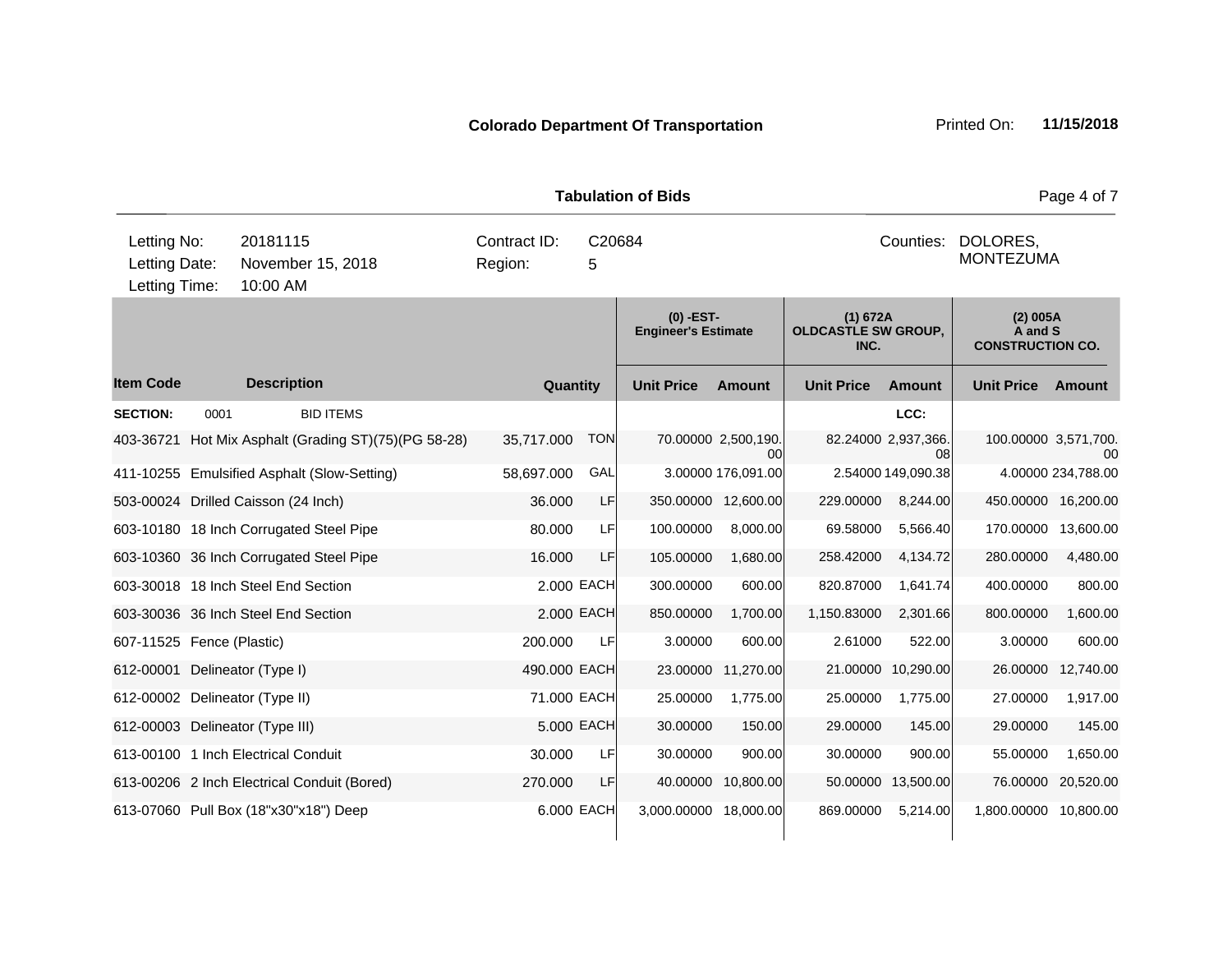|                                               |      |                                             |                                                      |                         |             | <b>Tabulation of Bids</b>                 |                           |                                                |                           |                                                | Page 4 of 7                |
|-----------------------------------------------|------|---------------------------------------------|------------------------------------------------------|-------------------------|-------------|-------------------------------------------|---------------------------|------------------------------------------------|---------------------------|------------------------------------------------|----------------------------|
| Letting No:<br>Letting Date:<br>Letting Time: |      | 20181115<br>November 15, 2018<br>10:00 AM   |                                                      | Contract ID:<br>Region: | C20684<br>5 |                                           |                           |                                                | Counties:                 | DOLORES,<br><b>MONTEZUMA</b>                   |                            |
|                                               |      |                                             |                                                      |                         |             | $(0)$ -EST-<br><b>Engineer's Estimate</b> |                           | (1) 672A<br><b>OLDCASTLE SW GROUP,</b><br>INC. |                           | (2) 005A<br>A and S<br><b>CONSTRUCTION CO.</b> |                            |
| <b>Item Code</b>                              |      | <b>Description</b>                          |                                                      | Quantity                |             | <b>Unit Price</b>                         | <b>Amount</b>             | <b>Unit Price</b>                              | <b>Amount</b>             | <b>Unit Price</b>                              | Amount                     |
| <b>SECTION:</b>                               | 0001 | <b>BID ITEMS</b>                            |                                                      |                         |             |                                           |                           |                                                | LCC:                      |                                                |                            |
|                                               |      |                                             | 403-36721 Hot Mix Asphalt (Grading ST)(75)(PG 58-28) | 35,717.000              | <b>TON</b>  |                                           | 70.00000 2,500,190.<br>ΩO |                                                | 82.24000 2,937,366.<br>08 |                                                | 100.00000 3,571,700.<br>00 |
|                                               |      | 411-10255 Emulsified Asphalt (Slow-Setting) |                                                      | 58,697.000              | GAL         |                                           | 3.00000 176,091.00        |                                                | 2.54000 149,090.38        |                                                | 4.00000 234,788.00         |
|                                               |      | 503-00024 Drilled Caisson (24 Inch)         |                                                      | 36.000                  | LF          |                                           | 350.00000 12,600.00       | 229.00000                                      | 8,244.00                  |                                                | 450.00000 16,200.00        |
|                                               |      | 603-10180 18 Inch Corrugated Steel Pipe     |                                                      | 80.000                  | LF          | 100.00000                                 | 8,000.00                  | 69.58000                                       | 5,566.40                  | 170.00000                                      | 13,600.00                  |
|                                               |      | 603-10360 36 Inch Corrugated Steel Pipe     |                                                      | 16.000                  | LF          | 105.00000                                 | 1,680.00                  | 258.42000                                      | 4,134.72                  | 280.00000                                      | 4,480.00                   |
|                                               |      | 603-30018 18 Inch Steel End Section         |                                                      |                         | 2.000 EACH  | 300.00000                                 | 600.00                    | 820.87000                                      | 1,641.74                  | 400.00000                                      | 800.00                     |
|                                               |      | 603-30036 36 Inch Steel End Section         |                                                      |                         | 2.000 EACH  | 850.00000                                 | 1,700.00                  | 1,150.83000                                    | 2,301.66                  | 800.00000                                      | 1,600.00                   |
| 607-11525 Fence (Plastic)                     |      |                                             |                                                      | 200.000                 | LF          | 3.00000                                   | 600.00                    | 2.61000                                        | 522.00                    | 3.00000                                        | 600.00                     |
| 612-00001 Delineator (Type I)                 |      |                                             |                                                      | 490.000 EACH            |             |                                           | 23.00000 11,270.00        |                                                | 21.00000 10,290.00        | 26.00000                                       | 12,740.00                  |
|                                               |      | 612-00002 Delineator (Type II)              |                                                      | 71.000 EACH             |             | 25.00000                                  | 1,775.00                  | 25.00000                                       | 1,775.00                  | 27.00000                                       | 1,917.00                   |
|                                               |      | 612-00003 Delineator (Type III)             |                                                      |                         | 5.000 EACH  | 30.00000                                  | 150.00                    | 29.00000                                       | 145.00                    | 29.00000                                       | 145.00                     |
|                                               |      | 613-00100 1 Inch Electrical Conduit         |                                                      | 30.000                  | LF          | 30.00000                                  | 900.00                    | 30.00000                                       | 900.00                    | 55.00000                                       | 1,650.00                   |
|                                               |      | 613-00206 2 Inch Electrical Conduit (Bored) |                                                      | 270.000                 | LF          | 40.00000                                  | 10,800.00                 | 50.00000                                       | 13,500.00                 | 76.00000                                       | 20,520.00                  |
|                                               |      | 613-07060 Pull Box (18"x30"x18") Deep       |                                                      |                         | 6.000 EACH  | 3,000.00000 18,000.00                     |                           | 869.00000                                      | 5,214.00                  | 1,800.00000 10,800.00                          |                            |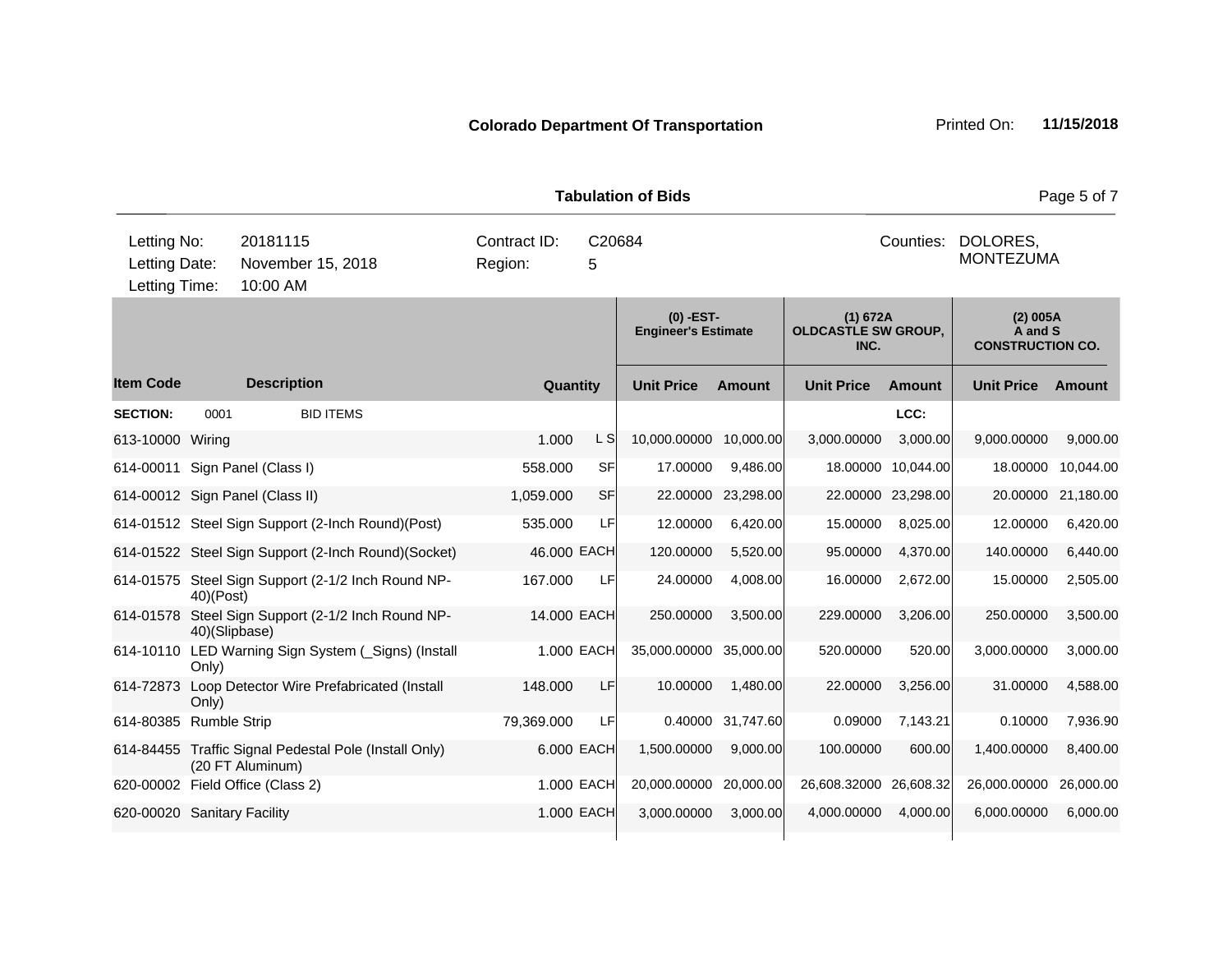| <b>Tabulation of Bids</b>                     |               |                                           |                                                       |                         |             |                                           |                                           |                                         |                    | Page 5 of 7                                    |                    |
|-----------------------------------------------|---------------|-------------------------------------------|-------------------------------------------------------|-------------------------|-------------|-------------------------------------------|-------------------------------------------|-----------------------------------------|--------------------|------------------------------------------------|--------------------|
| Letting No:<br>Letting Date:<br>Letting Time: |               | 20181115<br>November 15, 2018<br>10:00 AM |                                                       | Contract ID:<br>Region: | C20684      |                                           | Counties:<br>DOLORES,<br><b>MONTEZUMA</b> |                                         |                    |                                                |                    |
|                                               |               |                                           |                                                       |                         |             | $(0)$ -EST-<br><b>Engineer's Estimate</b> |                                           | (1) 672A<br>OLDCASTLE SW GROUP,<br>INC. |                    | (2) 005A<br>A and S<br><b>CONSTRUCTION CO.</b> |                    |
| <b>Item Code</b>                              |               | <b>Description</b>                        |                                                       |                         | Quantity    | <b>Unit Price</b>                         | <b>Amount</b>                             | <b>Unit Price</b>                       | <b>Amount</b>      | <b>Unit Price</b>                              | Amount             |
| <b>SECTION:</b>                               | 0001          |                                           | <b>BID ITEMS</b>                                      |                         |             |                                           |                                           |                                         | LCC:               |                                                |                    |
| 613-10000 Wiring                              |               |                                           |                                                       | 1.000                   | L S         | 10,000.00000 10,000.00                    |                                           | 3,000.00000                             | 3,000.00           | 9,000.00000                                    | 9,000.00           |
|                                               |               | 614-00011 Sign Panel (Class I)            |                                                       | 558.000                 | SF          | 17.00000                                  | 9,486.00                                  | 18.00000                                | 10,044.00          | 18.00000                                       | 10,044.00          |
|                                               |               | 614-00012 Sign Panel (Class II)           |                                                       | 1,059.000               | SF          | 22.00000                                  | 23,298.00                                 |                                         | 22.00000 23,298.00 |                                                | 20.00000 21,180.00 |
|                                               |               |                                           | 614-01512 Steel Sign Support (2-Inch Round)(Post)     | 535.000                 | LF          | 12.00000                                  | 6,420.00                                  | 15.00000                                | 8,025.00           | 12.00000                                       | 6,420.00           |
|                                               |               |                                           | 614-01522 Steel Sign Support (2-Inch Round)(Socket)   | 46.000 EACH             |             | 120.00000                                 | 5,520.00                                  | 95.00000                                | 4,370.00           | 140.00000                                      | 6,440.00           |
|                                               | 40)(Post)     |                                           | 614-01575 Steel Sign Support (2-1/2 Inch Round NP-    | 167.000                 | LF          | 24.00000                                  | 4,008.00                                  | 16.00000                                | 2,672.00           | 15.00000                                       | 2,505.00           |
| 614-01578                                     | 40)(Slipbase) |                                           | Steel Sign Support (2-1/2 Inch Round NP-              |                         | 14.000 EACH | 250.00000                                 | 3,500.00                                  | 229.00000                               | 3,206.00           | 250.00000                                      | 3,500.00           |
|                                               | Only)         |                                           | 614-10110 LED Warning Sign System (_Signs) (Install   |                         | 1.000 EACH  | 35,000.00000 35,000.00                    |                                           | 520.00000                               | 520.00             | 3,000.00000                                    | 3,000.00           |
| 614-72873                                     | Only)         |                                           | Loop Detector Wire Prefabricated (Install             | 148.000                 | <b>LF</b>   | 10.00000                                  | 1,480.00                                  | 22.00000                                | 3,256.00           | 31.00000                                       | 4,588.00           |
| 614-80385 Rumble Strip                        |               |                                           |                                                       | 79,369.000              | LF          |                                           | 0.40000 31,747.60                         | 0.09000                                 | 7,143.21           | 0.10000                                        | 7,936.90           |
|                                               |               | (20 FT Aluminum)                          | 614-84455 Traffic Signal Pedestal Pole (Install Only) |                         | 6.000 EACH  | 1,500.00000                               | 9,000.00                                  | 100.00000                               | 600.00             | 1,400.00000                                    | 8,400.00           |
|                                               |               | 620-00002 Field Office (Class 2)          |                                                       |                         | 1.000 EACH  | 20,000.00000                              | 20,000.00                                 | 26,608.32000 26,608.32                  |                    | 26,000.00000                                   | 26,000.00          |
| 620-00020 Sanitary Facility                   |               |                                           |                                                       |                         | 1.000 EACH  | 3,000.00000                               | 3,000.00                                  | 4,000.00000                             | 4,000.00           | 6,000.00000                                    | 6,000.00           |
|                                               |               |                                           |                                                       |                         |             |                                           |                                           |                                         |                    |                                                |                    |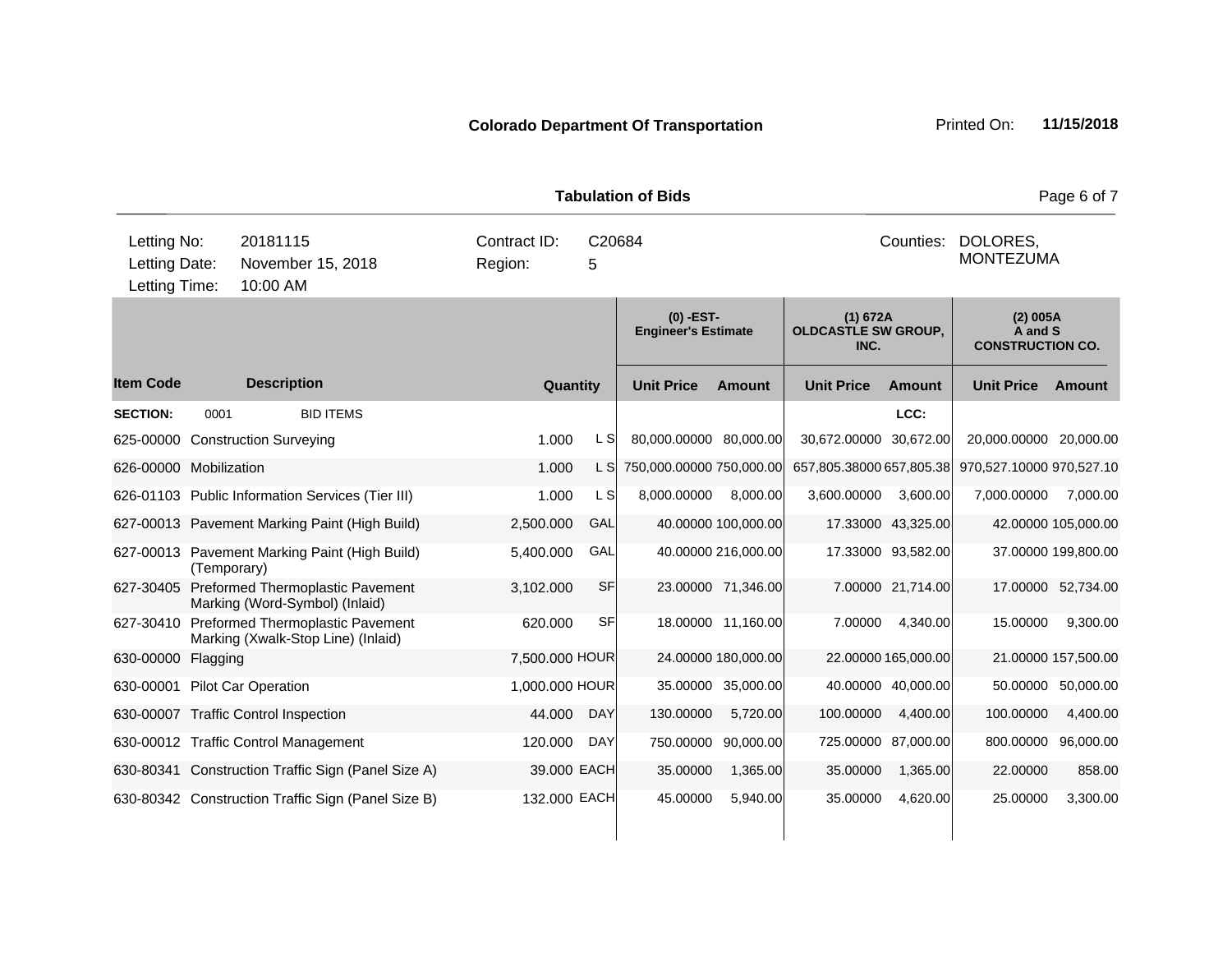|                                               |             |                      |                                                                                  |         |                             |            | <b>Tabulation of Bids</b>                 |                     |                                                |                     |                                                | Page 6 of 7         |
|-----------------------------------------------|-------------|----------------------|----------------------------------------------------------------------------------|---------|-----------------------------|------------|-------------------------------------------|---------------------|------------------------------------------------|---------------------|------------------------------------------------|---------------------|
| Letting No:<br>Letting Date:<br>Letting Time: |             | 20181115<br>10:00 AM | November 15, 2018                                                                | Region: | Contract ID:<br>C20684<br>5 |            |                                           |                     |                                                | Counties:           | DOLORES,<br><b>MONTEZUMA</b>                   |                     |
|                                               |             |                      |                                                                                  |         |                             |            | $(0)$ -EST-<br><b>Engineer's Estimate</b> |                     | (1) 672A<br><b>OLDCASTLE SW GROUP,</b><br>INC. |                     | (2) 005A<br>A and S<br><b>CONSTRUCTION CO.</b> |                     |
| <b>Item Code</b>                              |             | <b>Description</b>   |                                                                                  |         | Quantity                    |            | <b>Unit Price</b>                         | <b>Amount</b>       | <b>Unit Price</b>                              | <b>Amount</b>       | <b>Unit Price</b>                              | Amount              |
| <b>SECTION:</b>                               | 0001        |                      | <b>BID ITEMS</b>                                                                 |         |                             |            |                                           |                     |                                                | LCC:                |                                                |                     |
| 625-00000 Construction Surveying              |             |                      |                                                                                  |         | 1.000                       | L SI       | 80,000.00000 80,000.00                    |                     | 30,672.00000 30,672.00                         |                     | 20,000.00000                                   | 20,000.00           |
| 626-00000 Mobilization                        |             |                      |                                                                                  |         | 1.000                       | L S        | 750,000.00000 750,000.00                  |                     | 657,805.38000 657,805.38                       |                     | 970,527.10000 970,527.10                       |                     |
|                                               |             |                      | 626-01103 Public Information Services (Tier III)                                 |         | 1.000                       | L S        | 8,000.00000                               | 8,000.00            | 3,600.00000                                    | 3,600.00            | 7,000.00000                                    | 7,000.00            |
|                                               |             |                      | 627-00013 Pavement Marking Paint (High Build)                                    |         | 2,500.000                   | GAL        |                                           | 40.00000 100,000.00 |                                                | 17.33000 43,325.00  |                                                | 42.00000 105,000.00 |
|                                               | (Temporary) |                      | 627-00013 Pavement Marking Paint (High Build)                                    |         | 5,400.000                   | GAL        |                                           | 40.00000 216,000.00 |                                                | 17.33000 93,582.00  |                                                | 37.00000 199,800.00 |
|                                               |             |                      | 627-30405 Preformed Thermoplastic Pavement<br>Marking (Word-Symbol) (Inlaid)     |         | 3,102.000                   | SF         |                                           | 23.00000 71,346.00  |                                                | 7.00000 21,714.00   |                                                | 17.00000 52,734.00  |
|                                               |             |                      | 627-30410 Preformed Thermoplastic Pavement<br>Marking (Xwalk-Stop Line) (Inlaid) |         | 620.000                     | SF         |                                           | 18.00000 11,160.00  | 7.00000                                        | 4,340.00            | 15.00000                                       | 9,300.00            |
| 630-00000                                     | Flagging    |                      |                                                                                  |         | 7,500.000 HOUR              |            |                                           | 24.00000 180,000.00 |                                                | 22.00000 165,000.00 |                                                | 21.00000 157,500.00 |
| 630-00001 Pilot Car Operation                 |             |                      |                                                                                  |         | 1,000.000 HOUR              |            |                                           | 35.00000 35,000.00  |                                                | 40.00000 40,000.00  | 50.00000                                       | 50,000.00           |
| 630-00007 Traffic Control Inspection          |             |                      |                                                                                  |         | 44.000                      | <b>DAY</b> | 130.00000                                 | 5,720.00            | 100.00000                                      | 4,400.00            | 100.00000                                      | 4,400.00            |
| 630-00012 Traffic Control Management          |             |                      |                                                                                  |         | 120.000                     | <b>DAY</b> | 750.00000                                 | 90,000.00           |                                                | 725.00000 87,000.00 | 800.00000                                      | 96,000.00           |
|                                               |             |                      | 630-80341 Construction Traffic Sign (Panel Size A)                               |         | 39.000 EACH                 |            | 35.00000                                  | 1,365.00            | 35.00000                                       | 1,365.00            | 22.00000                                       | 858.00              |
|                                               |             |                      | 630-80342 Construction Traffic Sign (Panel Size B)                               |         | 132.000 EACH                |            | 45.00000                                  | 5,940.00            | 35.00000                                       | 4,620.00            | 25.00000                                       | 3,300.00            |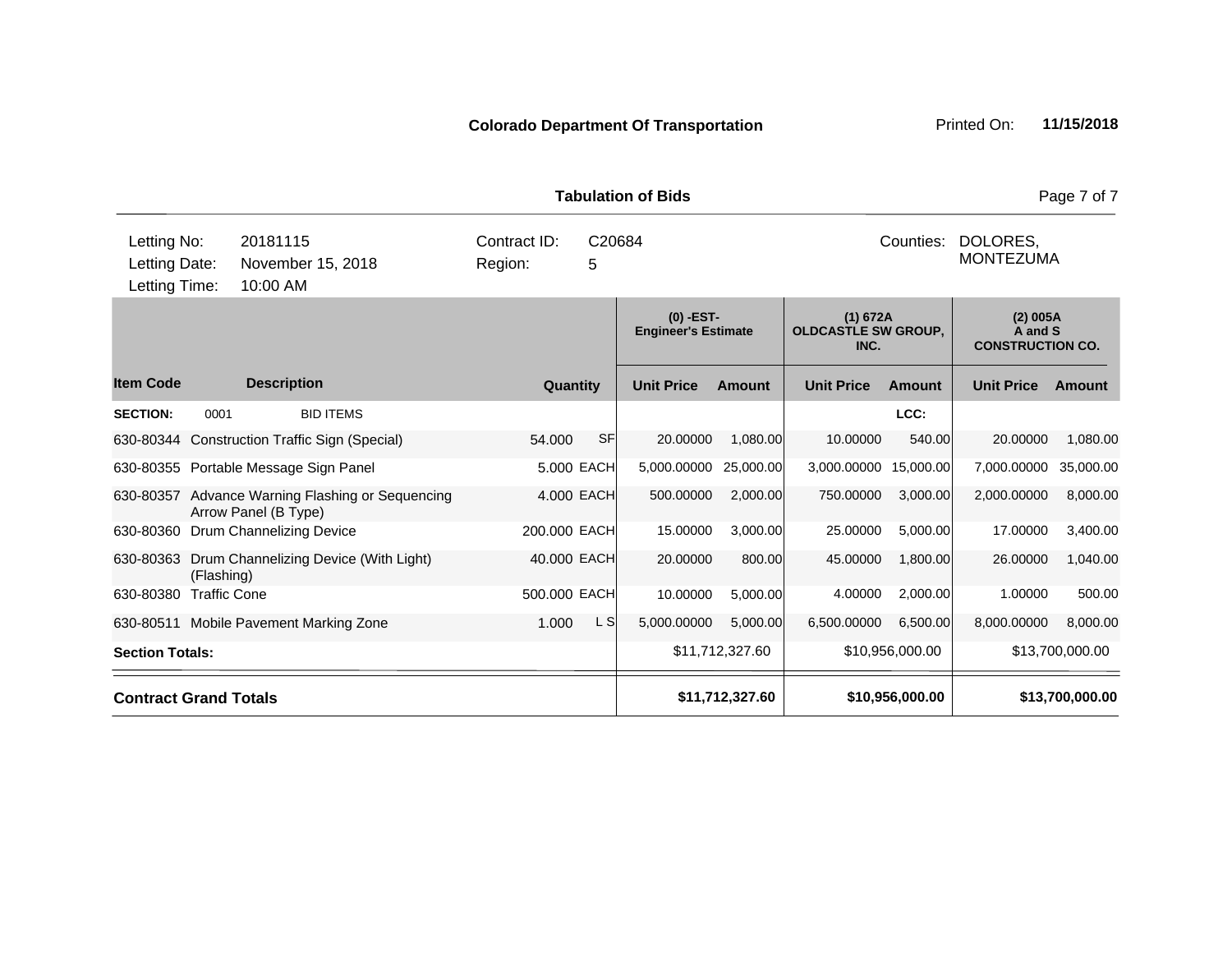| Letting No:                  |                     | 20181115                                                       | Contract ID: |             | C20684            |                                           |                   | Counties:                              | DOLORES,                                       |                 |
|------------------------------|---------------------|----------------------------------------------------------------|--------------|-------------|-------------------|-------------------------------------------|-------------------|----------------------------------------|------------------------------------------------|-----------------|
| Letting Date:                |                     | November 15, 2018                                              | Region:      | 5           |                   |                                           |                   |                                        | <b>MONTEZUMA</b>                               |                 |
| Letting Time:                |                     | 10:00 AM                                                       |              |             |                   |                                           |                   |                                        |                                                |                 |
|                              |                     |                                                                |              |             |                   | $(0)$ -EST-<br><b>Engineer's Estimate</b> |                   | (1) 672A<br><b>OLDCASTLE SW GROUP,</b> | (2) 005A<br>A and S<br><b>CONSTRUCTION CO.</b> |                 |
| <b>Item Code</b>             |                     | <b>Description</b>                                             |              | Quantity    | <b>Unit Price</b> | <b>Amount</b>                             | <b>Unit Price</b> | Amount                                 | <b>Unit Price</b>                              | <b>Amount</b>   |
| <b>SECTION:</b>              | 0001                | <b>BID ITEMS</b>                                               |              |             |                   |                                           |                   | LCC:                                   |                                                |                 |
|                              |                     | 630-80344 Construction Traffic Sign (Special)                  | 54.000       | <b>SF</b>   | 20.00000          | 1,080.00                                  | 10.00000          | 540.00                                 | 20.00000                                       | 1,080.00        |
|                              |                     | 630-80355 Portable Message Sign Panel                          |              | 5.000 EACH  | 5,000.00000       | 25,000.00                                 | 3,000.00000       | 15,000.00                              | 7,000.00000                                    | 35,000.00       |
| 630-80357                    |                     | Advance Warning Flashing or Sequencing<br>Arrow Panel (B Type) |              | 4.000 EACH  | 500.00000         | 2,000.00                                  | 750.00000         | 3,000.00                               | 2,000.00000                                    | 8,000.00        |
| 630-80360                    |                     | Drum Channelizing Device                                       | 200.000 EACH |             | 15.00000          | 3,000.00                                  | 25.00000          | 5,000.00                               | 17.00000                                       | 3,400.00        |
| 630-80363                    | (Flashing)          | Drum Channelizing Device (With Light)                          |              | 40.000 EACH | 20.00000          | 800.00                                    | 45.00000          | 1.800.00                               | 26.00000                                       | 1,040.00        |
| 630-80380                    | <b>Traffic Cone</b> |                                                                | 500.000 EACH |             | 10.00000          | 5,000.00                                  | 4.00000           | 2,000.00                               | 1.00000                                        | 500.00          |
| 630-80511                    |                     | Mobile Pavement Marking Zone                                   | 1.000        | L S         | 5,000.00000       | 5,000.00                                  | 6,500.00000       | 6,500.00                               | 8,000.00000                                    | 8,000.00        |
| <b>Section Totals:</b>       |                     |                                                                |              |             |                   | \$11,712,327.60                           |                   | \$10,956,000.00                        |                                                | \$13,700,000.00 |
| <b>Contract Grand Totals</b> |                     |                                                                |              |             |                   | \$11,712,327.60                           |                   | \$10,956,000.00                        |                                                | \$13,700,000.00 |

**Tabulation of Bids** Page 7 of 7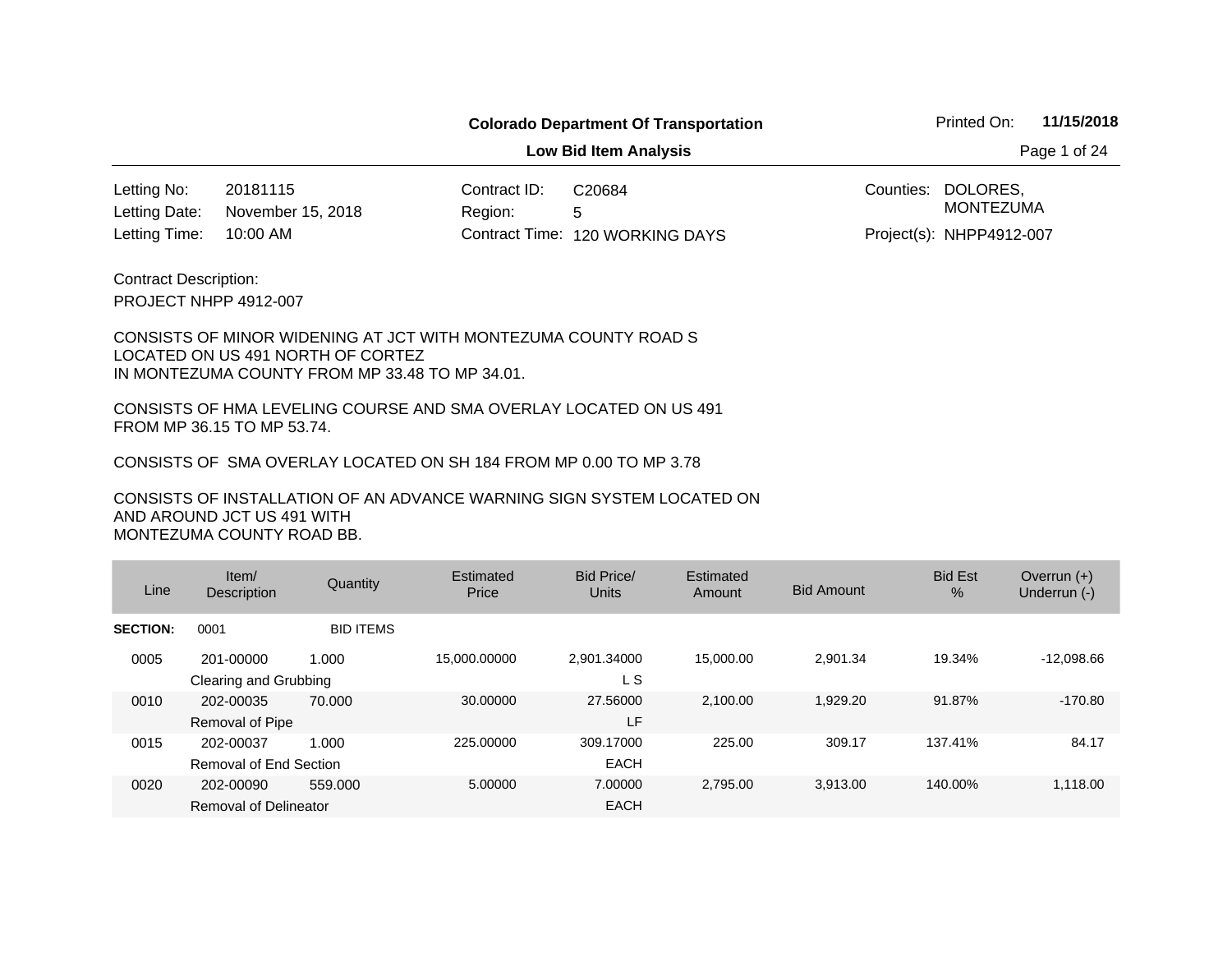**Low Bid Item Analysis Page 1 of 24** 

20181115 Contract ID: 10:00 AM November 15, 2018 Letting No: Letting Date:

Region: 5 120 WORKING DAYS Letting Time: Contract Time:C20684

Counties: DOLORES, Project(s): NHPP4912-007 MONTEZUMA

PROJECT NHPP 4912-007 Contract Description:

#### CONSISTS OF MINOR WIDENING AT JCT WITH MONTEZUMA COUNTY ROAD S LOCATED ON US 491 NORTH OF CORTEZ IN MONTEZUMA COUNTY FROM MP 33.48 TO MP 34.01.

CONSISTS OF HMA LEVELING COURSE AND SMA OVERLAY LOCATED ON US 491 FROM MP 36.15 TO MP 53.74.

CONSISTS OF SMA OVERLAY LOCATED ON SH 184 FROM MP 0.00 TO MP 3.78

| Line            | Item/<br>Description                | Quantity         | Estimated<br>Price | Bid Price/<br>Units      | Estimated<br>Amount | <b>Bid Amount</b> | <b>Bid Est</b><br>% | Overrun $(+)$<br>Underrun (-) |
|-----------------|-------------------------------------|------------------|--------------------|--------------------------|---------------------|-------------------|---------------------|-------------------------------|
| <b>SECTION:</b> | 0001                                | <b>BID ITEMS</b> |                    |                          |                     |                   |                     |                               |
| 0005            | 201-00000<br>Clearing and Grubbing  | 1.000            | 15.000.00000       | 2.901.34000<br>L S       | 15,000,00           | 2.901.34          | 19.34%              | $-12.098.66$                  |
| 0010            | 202-00035<br><b>Removal of Pipe</b> | 70.000           | 30.00000           | 27,56000<br>LF           | 2.100.00            | 1.929.20          | 91.87%              | $-170.80$                     |
| 0015            | 202-00037<br>Removal of End Section | 1.000            | 225.00000          | 309.17000<br><b>EACH</b> | 225.00              | 309.17            | 137.41%             | 84.17                         |
| 0020            | 202-00090<br>Removal of Delineator  | 559,000          | 5.00000            | 7.00000<br><b>EACH</b>   | 2.795.00            | 3.913.00          | 140.00%             | 1,118.00                      |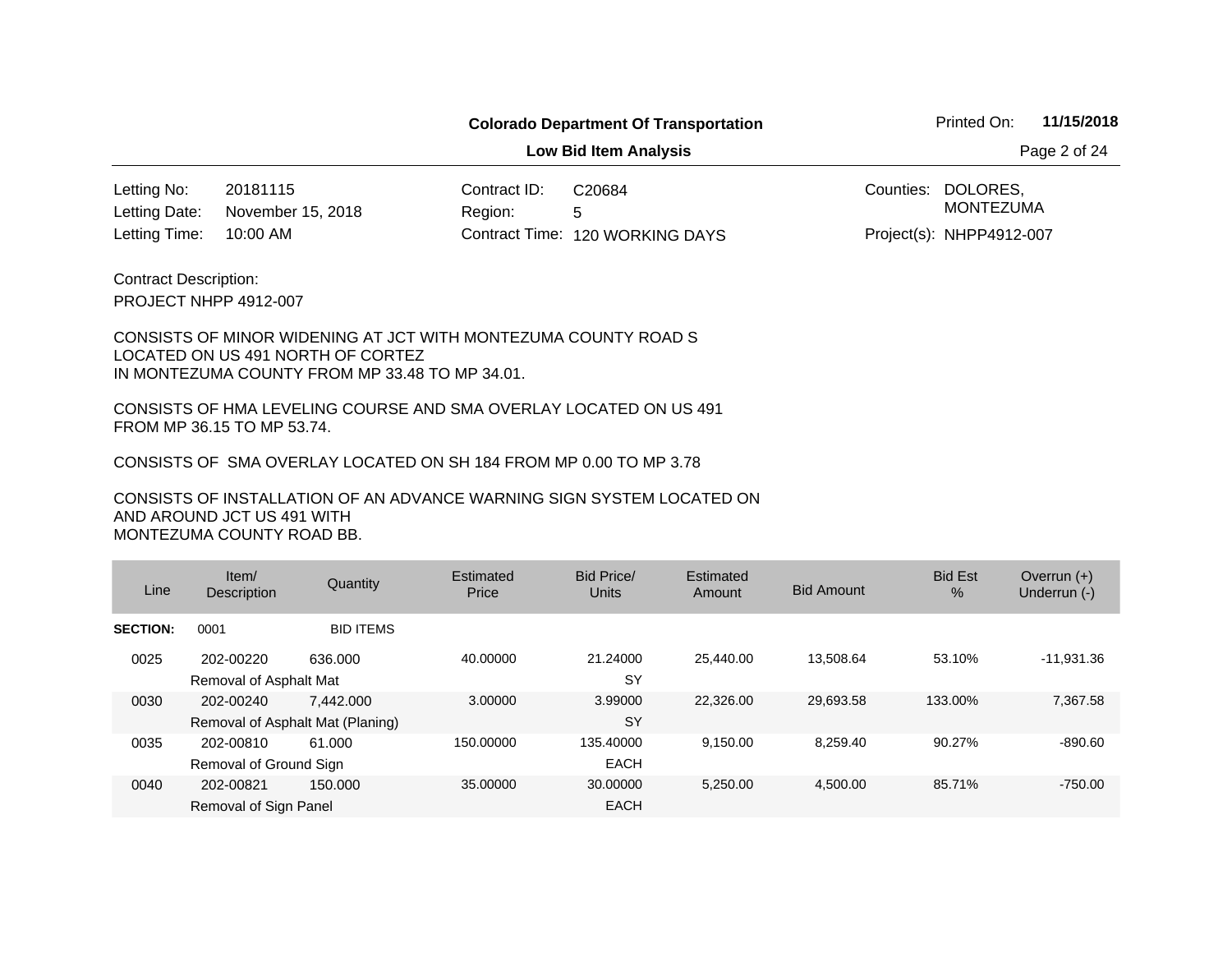**Low Bid Item Analysis Page 2 of 24** 

20181115 Contract ID: 10:00 AM November 15, 2018 Letting No: Letting Date:

Region: 5 120 WORKING DAYS Letting Time: Contract Time:C20684

Counties: DOLORES, Project(s): NHPP4912-007 MONTEZUMA

PROJECT NHPP 4912-007 Contract Description:

#### CONSISTS OF MINOR WIDENING AT JCT WITH MONTEZUMA COUNTY ROAD S LOCATED ON US 491 NORTH OF CORTEZ IN MONTEZUMA COUNTY FROM MP 33.48 TO MP 34.01.

CONSISTS OF HMA LEVELING COURSE AND SMA OVERLAY LOCATED ON US 491 FROM MP 36.15 TO MP 53.74.

CONSISTS OF SMA OVERLAY LOCATED ON SH 184 FROM MP 0.00 TO MP 3.78

| Line            | Item/<br>Description                          | Quantity         | Estimated<br>Price | Bid Price/<br>Units      | Estimated<br>Amount | <b>Bid Amount</b> | <b>Bid Est</b><br>$\frac{0}{0}$ | Overrun $(+)$<br>Underrun (-) |
|-----------------|-----------------------------------------------|------------------|--------------------|--------------------------|---------------------|-------------------|---------------------------------|-------------------------------|
| <b>SECTION:</b> | 0001                                          | <b>BID ITEMS</b> |                    |                          |                     |                   |                                 |                               |
| 0025            | 202-00220<br>Removal of Asphalt Mat           | 636,000          | 40.00000           | 21.24000<br><b>SY</b>    | 25.440.00           | 13.508.64         | 53.10%                          | $-11,931.36$                  |
| 0030            | 202-00240<br>Removal of Asphalt Mat (Planing) | 7.442.000        | 3.00000            | 3.99000<br><b>SY</b>     | 22.326.00           | 29,693.58         | 133.00%                         | 7,367.58                      |
| 0035            | 202-00810<br>Removal of Ground Sign           | 61.000           | 150.00000          | 135,40000<br><b>EACH</b> | 9,150.00            | 8.259.40          | 90.27%                          | $-890.60$                     |
| 0040            | 202-00821<br>Removal of Sign Panel            | 150.000          | 35,00000           | 30,00000<br><b>EACH</b>  | 5.250.00            | 4.500.00          | 85.71%                          | $-750.00$                     |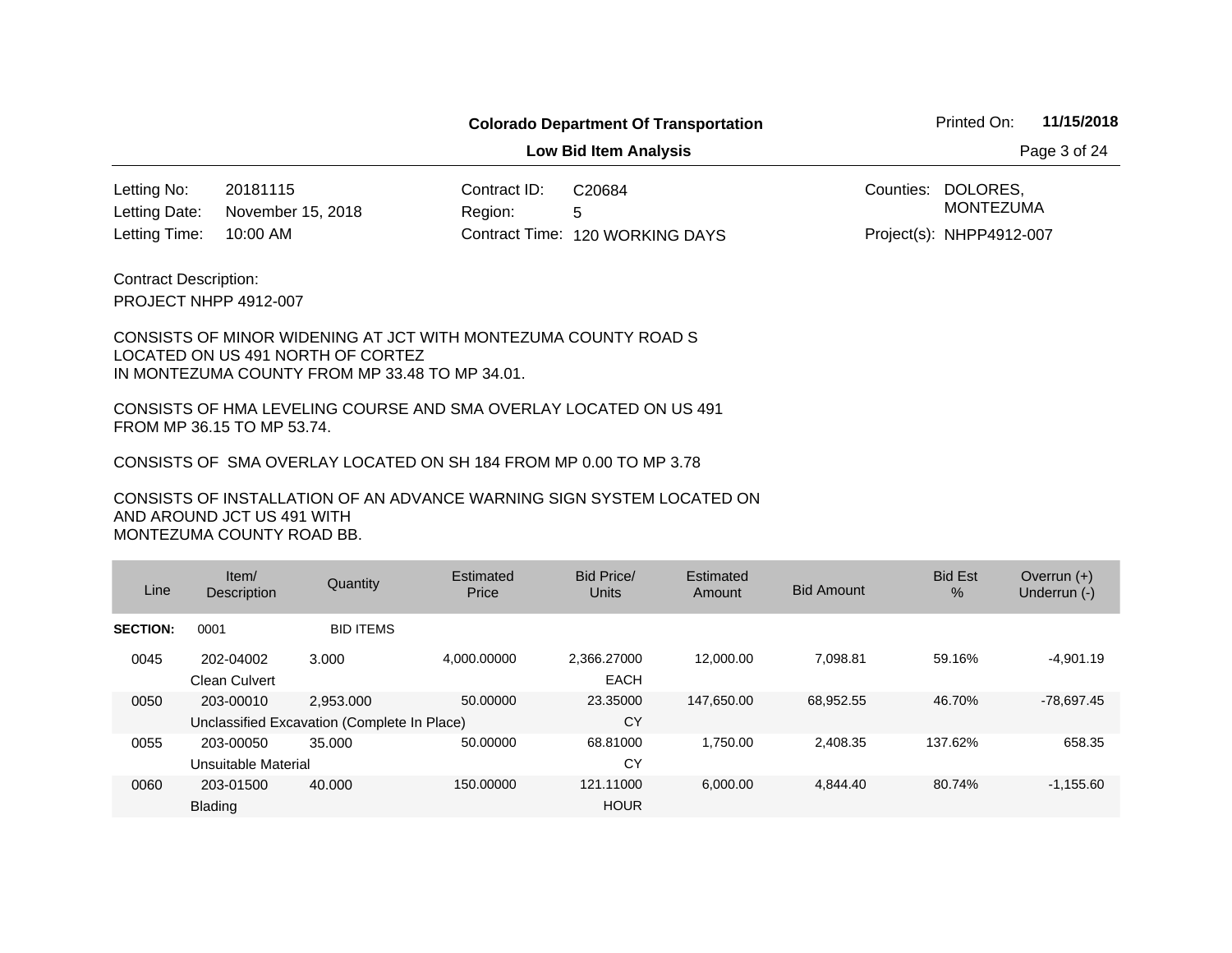**Low Bid Item Analysis Page 3 of 24** 

20181115 Contract ID: 10:00 AM November 15, 2018 Letting No: Letting Date:

Region: 5 120 WORKING DAYS Letting Time: Contract Time:C20684

Counties: DOLORES, Project(s): NHPP4912-007 MONTEZUMA

PROJECT NHPP 4912-007 Contract Description:

#### CONSISTS OF MINOR WIDENING AT JCT WITH MONTEZUMA COUNTY ROAD S LOCATED ON US 491 NORTH OF CORTEZ IN MONTEZUMA COUNTY FROM MP 33.48 TO MP 34.01.

CONSISTS OF HMA LEVELING COURSE AND SMA OVERLAY LOCATED ON US 491 FROM MP 36.15 TO MP 53.74.

CONSISTS OF SMA OVERLAY LOCATED ON SH 184 FROM MP 0.00 TO MP 3.78

| Line            | Item/<br><b>Description</b>       | Quantity                                                 | Estimated<br>Price | Bid Price/<br>Units        | Estimated<br>Amount | <b>Bid Amount</b> | <b>Bid Est</b><br>$\%$ | Overrun $(+)$<br>Underrun (-) |
|-----------------|-----------------------------------|----------------------------------------------------------|--------------------|----------------------------|---------------------|-------------------|------------------------|-------------------------------|
| <b>SECTION:</b> | 0001                              | <b>BID ITEMS</b>                                         |                    |                            |                     |                   |                        |                               |
| 0045            | 202-04002<br><b>Clean Culvert</b> | 3.000                                                    | 4.000.00000        | 2,366.27000<br><b>EACH</b> | 12,000.00           | 7,098.81          | 59.16%                 | $-4,901.19$                   |
| 0050            | 203-00010                         | 2.953.000<br>Unclassified Excavation (Complete In Place) | 50.00000           | 23.35000<br>CY             | 147.650.00          | 68,952.55         | 46.70%                 | $-78,697.45$                  |
| 0055            | 203-00050<br>Unsuitable Material  | 35,000                                                   | 50.00000           | 68.81000<br>CY             | 1.750.00            | 2,408.35          | 137.62%                | 658.35                        |
| 0060            | 203-01500<br><b>Blading</b>       | 40,000                                                   | 150.00000          | 121.11000<br><b>HOUR</b>   | 6,000.00            | 4.844.40          | 80.74%                 | $-1,155.60$                   |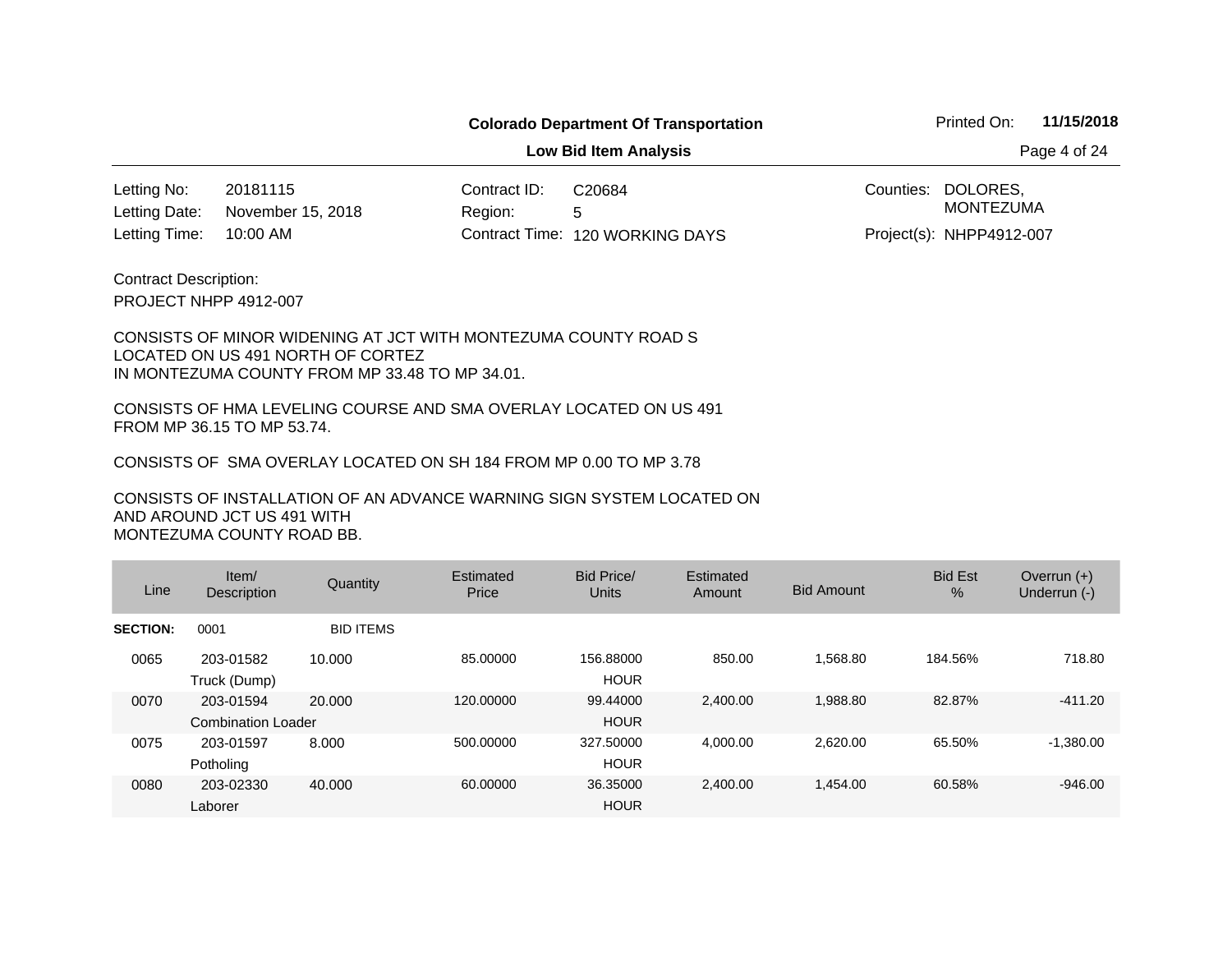**Low Bid Item Analysis Page 4 of 24** 

20181115 Contract ID: 10:00 AM November 15, 2018 Letting No: Letting Date:

Region: 5 120 WORKING DAYS Letting Time: Contract Time:C20684

Counties: DOLORES, Project(s): NHPP4912-007 MONTEZUMA

PROJECT NHPP 4912-007 Contract Description:

#### CONSISTS OF MINOR WIDENING AT JCT WITH MONTEZUMA COUNTY ROAD S LOCATED ON US 491 NORTH OF CORTEZ IN MONTEZUMA COUNTY FROM MP 33.48 TO MP 34.01.

CONSISTS OF HMA LEVELING COURSE AND SMA OVERLAY LOCATED ON US 491 FROM MP 36.15 TO MP 53.74.

CONSISTS OF SMA OVERLAY LOCATED ON SH 184 FROM MP 0.00 TO MP 3.78

| Line            | Item/<br><b>Description</b>            | Quantity         | Estimated<br>Price | Bid Price/<br>Units      | Estimated<br>Amount | <b>Bid Amount</b> | <b>Bid Est</b><br>$\frac{0}{0}$ | Overrun $(+)$<br>Underrun (-) |
|-----------------|----------------------------------------|------------------|--------------------|--------------------------|---------------------|-------------------|---------------------------------|-------------------------------|
| <b>SECTION:</b> | 0001                                   | <b>BID ITEMS</b> |                    |                          |                     |                   |                                 |                               |
| 0065            | 203-01582<br>Truck (Dump)              | 10.000           | 85.00000           | 156.88000<br><b>HOUR</b> | 850.00              | 1.568.80          | 184.56%                         | 718.80                        |
| 0070            | 203-01594<br><b>Combination Loader</b> | 20.000           | 120,00000          | 99.44000<br><b>HOUR</b>  | 2.400.00            | 1.988.80          | 82.87%                          | $-411.20$                     |
| 0075            | 203-01597<br>Potholing                 | 8.000            | 500.00000          | 327,50000<br><b>HOUR</b> | 4.000.00            | 2.620.00          | 65.50%                          | $-1,380.00$                   |
| 0080            | 203-02330<br>Laborer                   | 40.000           | 60.00000           | 36.35000<br><b>HOUR</b>  | 2,400.00            | 1.454.00          | 60.58%                          | $-946.00$                     |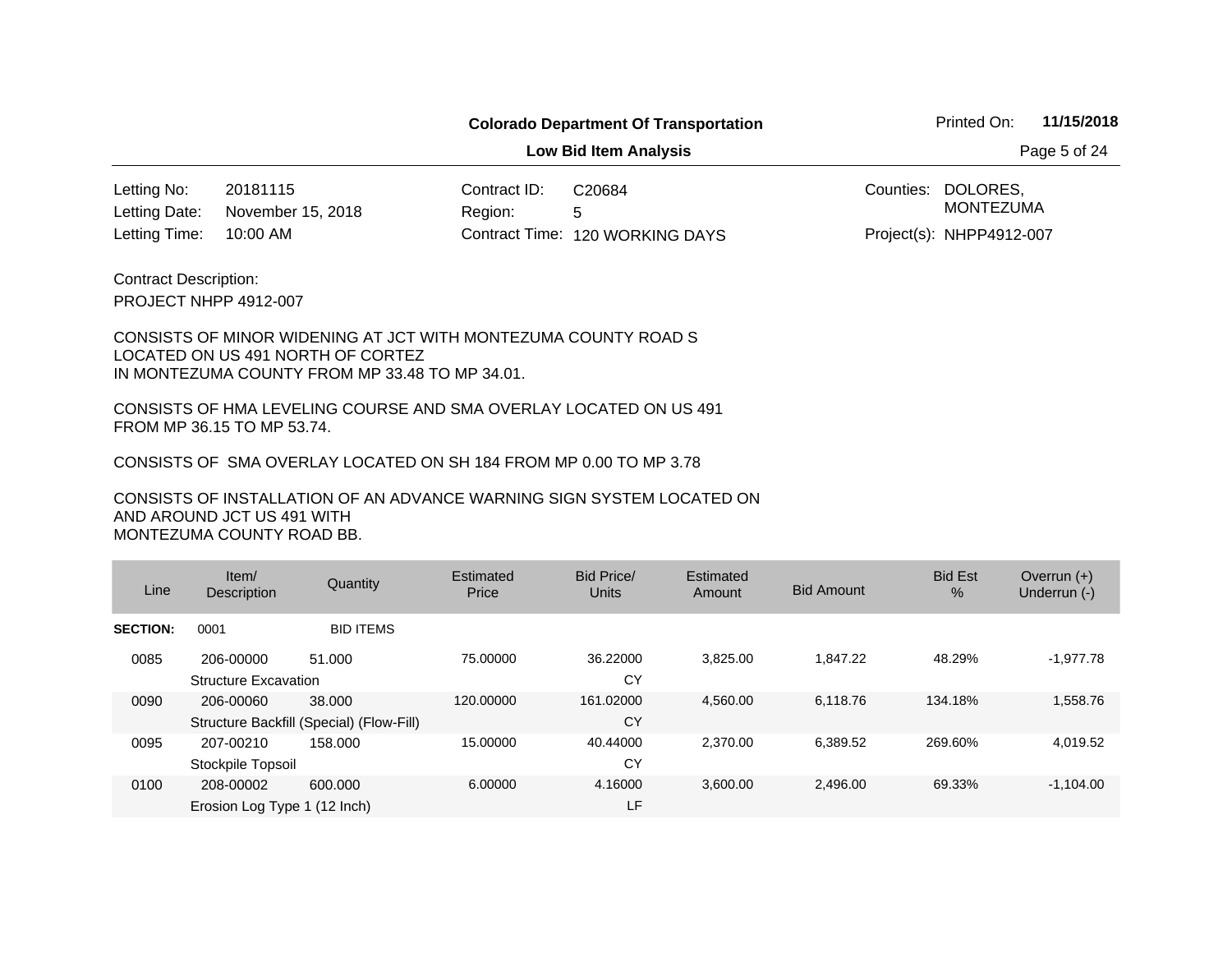**Low Bid Item Analysis Page 5 of 24** 

20181115 Contract ID: 10:00 AM November 15, 2018 Letting No: Letting Date:

Region: 5 120 WORKING DAYS Letting Time: Contract Time:C20684

Counties: DOLORES, Project(s): NHPP4912-007 MONTEZUMA

PROJECT NHPP 4912-007 Contract Description:

#### CONSISTS OF MINOR WIDENING AT JCT WITH MONTEZUMA COUNTY ROAD S LOCATED ON US 491 NORTH OF CORTEZ IN MONTEZUMA COUNTY FROM MP 33.48 TO MP 34.01.

CONSISTS OF HMA LEVELING COURSE AND SMA OVERLAY LOCATED ON US 491 FROM MP 36.15 TO MP 53.74.

CONSISTS OF SMA OVERLAY LOCATED ON SH 184 FROM MP 0.00 TO MP 3.78

| Line            | Item/<br>Description                      | Quantity                                           | Estimated<br>Price | Bid Price/<br>Units | Estimated<br>Amount | <b>Bid Amount</b> | <b>Bid Est</b><br>$\frac{0}{0}$ | Overrun $(+)$<br>Underrun (-) |
|-----------------|-------------------------------------------|----------------------------------------------------|--------------------|---------------------|---------------------|-------------------|---------------------------------|-------------------------------|
| <b>SECTION:</b> | 0001                                      | <b>BID ITEMS</b>                                   |                    |                     |                     |                   |                                 |                               |
| 0085            | 206-00000<br><b>Structure Excavation</b>  | 51.000                                             | 75.00000           | 36.22000<br>CY      | 3,825.00            | 1.847.22          | 48.29%                          | $-1,977.78$                   |
| 0090            | 206-00060                                 | 38,000<br>Structure Backfill (Special) (Flow-Fill) | 120.00000          | 161.02000<br>CY     | 4,560.00            | 6.118.76          | 134.18%                         | 1,558.76                      |
| 0095            | 207-00210<br>Stockpile Topsoil            | 158.000                                            | 15.00000           | 40.44000<br>CY      | 2.370.00            | 6,389.52          | 269.60%                         | 4,019.52                      |
| 0100            | 208-00002<br>Erosion Log Type 1 (12 Inch) | 600.000                                            | 6.00000            | 4.16000<br>LF       | 3,600.00            | 2,496.00          | 69.33%                          | $-1,104.00$                   |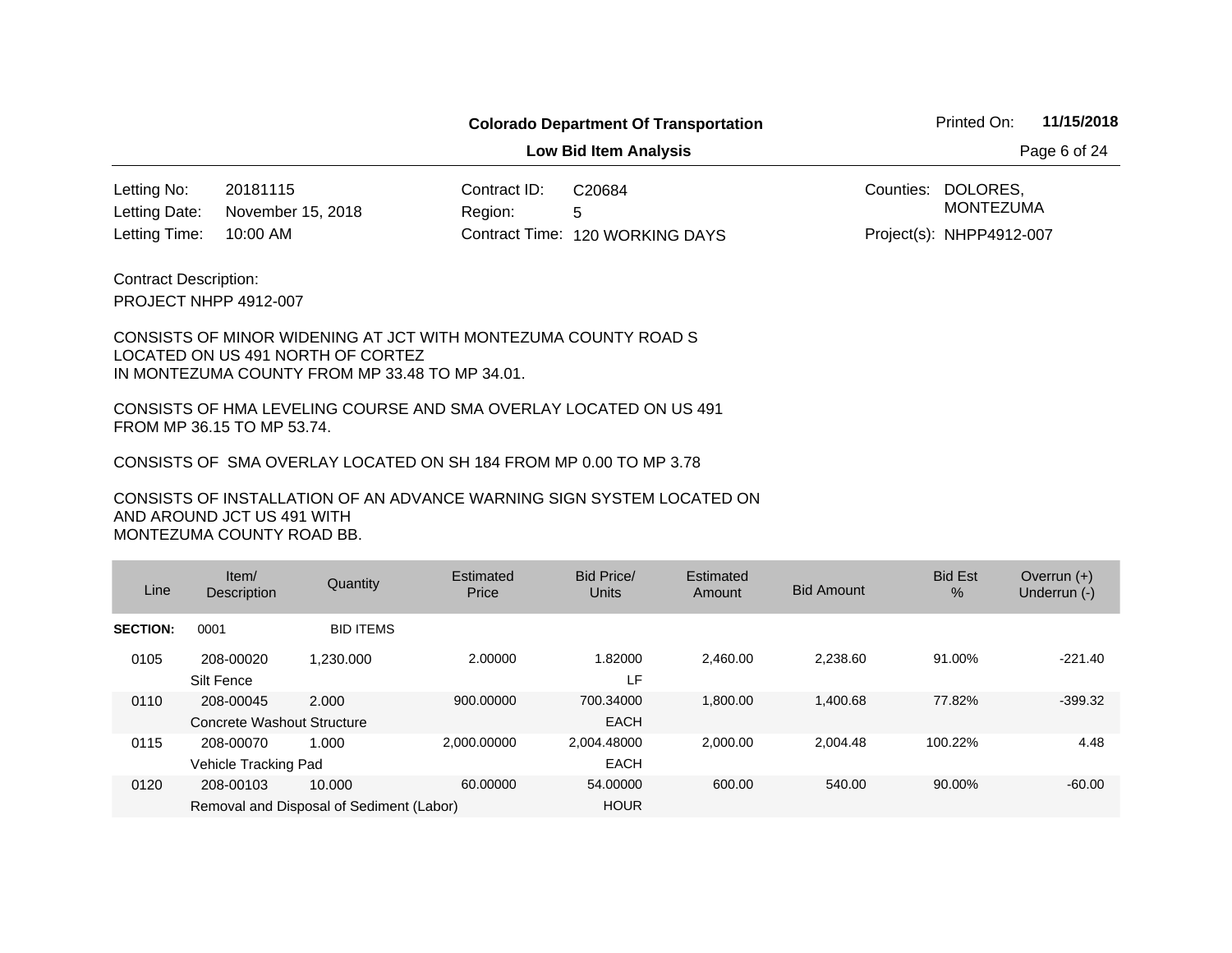**Low Bid Item Analysis Page 6 of 24** 

20181115 Contract ID: 10:00 AM 120 WORKING DAYS Letting Time: Contract Time:November 15, 2018 Letting No: Letting Date:

Region: 5 C20684

Counties: DOLORES, Project(s): NHPP4912-007 MONTEZUMA

PROJECT NHPP 4912-007 Contract Description:

#### CONSISTS OF MINOR WIDENING AT JCT WITH MONTEZUMA COUNTY ROAD S LOCATED ON US 491 NORTH OF CORTEZ IN MONTEZUMA COUNTY FROM MP 33.48 TO MP 34.01.

CONSISTS OF HMA LEVELING COURSE AND SMA OVERLAY LOCATED ON US 491 FROM MP 36.15 TO MP 53.74.

CONSISTS OF SMA OVERLAY LOCATED ON SH 184 FROM MP 0.00 TO MP 3.78

| Line            | Item/<br><b>Description</b>             | Quantity                                           | Estimated<br>Price | Bid Price/<br>Units        | Estimated<br>Amount | <b>Bid Amount</b> | <b>Bid Est</b><br>$\%$ | Overrun $(+)$<br>Underrun (-) |
|-----------------|-----------------------------------------|----------------------------------------------------|--------------------|----------------------------|---------------------|-------------------|------------------------|-------------------------------|
| <b>SECTION:</b> | 0001                                    | <b>BID ITEMS</b>                                   |                    |                            |                     |                   |                        |                               |
| 0105            | 208-00020<br>Silt Fence                 | 1.230.000                                          | 2.00000            | 1.82000<br>LF              | 2.460.00            | 2.238.60          | 91.00%                 | $-221.40$                     |
| 0110            | 208-00045<br>Concrete Washout Structure | 2.000                                              | 900.00000          | 700.34000<br><b>EACH</b>   | 1.800.00            | 1.400.68          | 77.82%                 | $-399.32$                     |
| 0115            | 208-00070<br>Vehicle Tracking Pad       | 1.000                                              | 2.000.00000        | 2.004.48000<br><b>EACH</b> | 2.000.00            | 2.004.48          | 100.22%                | 4.48                          |
| 0120            | 208-00103                               | 10.000<br>Removal and Disposal of Sediment (Labor) | 60.00000           | 54.00000<br><b>HOUR</b>    | 600.00              | 540.00            | 90.00%                 | $-60.00$                      |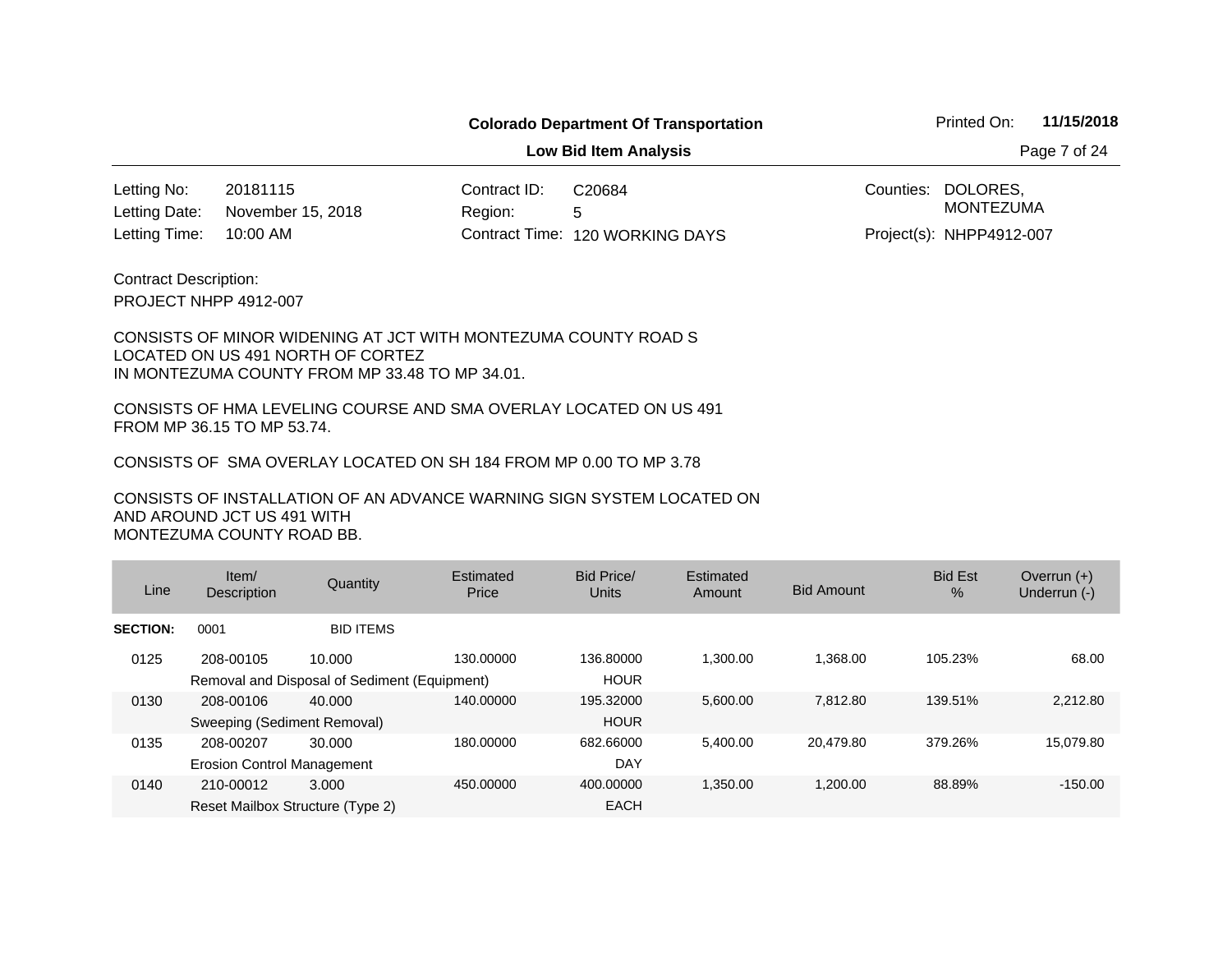**Low Bid Item Analysis Page 7 of 24** 

20181115 Contract ID: 10:00 AM November 15, 2018 Letting No: Letting Date:

Region: 5 120 WORKING DAYS Letting Time: Contract Time:C20684

Counties: DOLORES, Project(s): NHPP4912-007 MONTEZUMA

PROJECT NHPP 4912-007 Contract Description:

#### CONSISTS OF MINOR WIDENING AT JCT WITH MONTEZUMA COUNTY ROAD S LOCATED ON US 491 NORTH OF CORTEZ IN MONTEZUMA COUNTY FROM MP 33.48 TO MP 34.01.

CONSISTS OF HMA LEVELING COURSE AND SMA OVERLAY LOCATED ON US 491 FROM MP 36.15 TO MP 53.74.

CONSISTS OF SMA OVERLAY LOCATED ON SH 184 FROM MP 0.00 TO MP 3.78

| Line            | Item/<br><b>Description</b>                    | Quantity                                               | Estimated<br>Price | Bid Price/<br>Units      | Estimated<br>Amount | <b>Bid Amount</b> | <b>Bid Est</b><br>$\%$ | Overrun $(+)$<br>Underrun (-) |
|-----------------|------------------------------------------------|--------------------------------------------------------|--------------------|--------------------------|---------------------|-------------------|------------------------|-------------------------------|
| <b>SECTION:</b> | 0001                                           | <b>BID ITEMS</b>                                       |                    |                          |                     |                   |                        |                               |
| 0125            | 208-00105                                      | 10.000<br>Removal and Disposal of Sediment (Equipment) | 130.00000          | 136,80000<br><b>HOUR</b> | 1,300.00            | 1.368.00          | 105.23%                | 68.00                         |
| 0130            | 208-00106<br>Sweeping (Sediment Removal)       | 40,000                                                 | 140.00000          | 195.32000<br><b>HOUR</b> | 5,600.00            | 7.812.80          | 139.51%                | 2,212.80                      |
| 0135            | 208-00207<br><b>Erosion Control Management</b> | 30.000                                                 | 180.00000          | 682.66000<br>DAY         | 5,400.00            | 20.479.80         | 379.26%                | 15,079.80                     |
| 0140            | 210-00012<br>Reset Mailbox Structure (Type 2)  | 3.000                                                  | 450.00000          | 400.00000<br><b>EACH</b> | 1,350.00            | 1,200.00          | 88.89%                 | $-150.00$                     |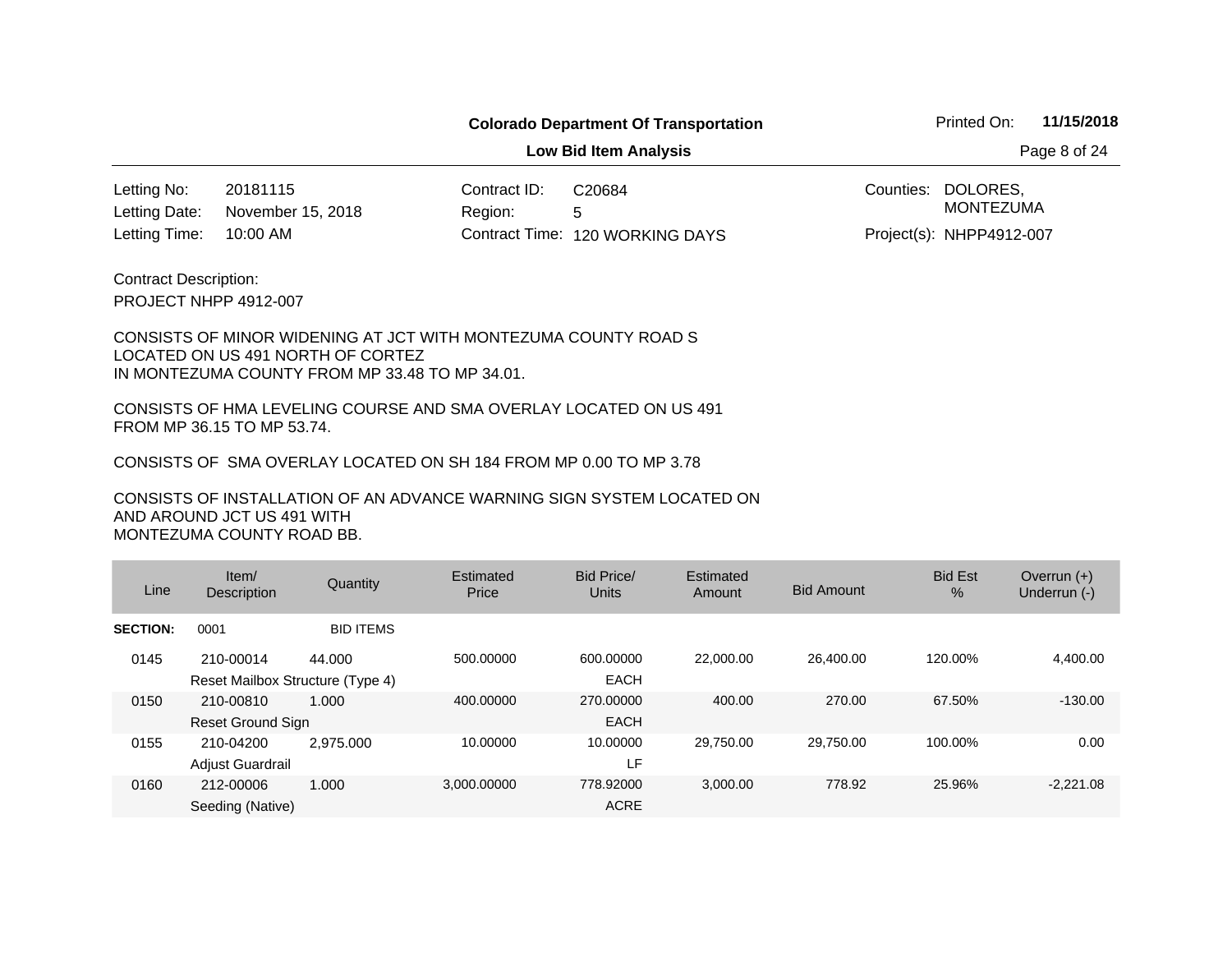**Low Bid Item Analysis Page 8 of 24** 

20181115 Contract ID: 10:00 AM 120 WORKING DAYS Letting Time: Contract Time:November 15, 2018 Letting No: Letting Date:

Region: 5 C20684

Counties: DOLORES, Project(s): NHPP4912-007 MONTEZUMA

PROJECT NHPP 4912-007 Contract Description:

#### CONSISTS OF MINOR WIDENING AT JCT WITH MONTEZUMA COUNTY ROAD S LOCATED ON US 491 NORTH OF CORTEZ IN MONTEZUMA COUNTY FROM MP 33.48 TO MP 34.01.

CONSISTS OF HMA LEVELING COURSE AND SMA OVERLAY LOCATED ON US 491 FROM MP 36.15 TO MP 53.74.

CONSISTS OF SMA OVERLAY LOCATED ON SH 184 FROM MP 0.00 TO MP 3.78

| Line            | Item/<br><b>Description</b>                   | Quantity         | Estimated<br>Price | Bid Price/<br>Units      | Estimated<br>Amount | <b>Bid Amount</b> | <b>Bid Est</b><br>$\%$ | Overrun $(+)$<br>Underrun (-) |
|-----------------|-----------------------------------------------|------------------|--------------------|--------------------------|---------------------|-------------------|------------------------|-------------------------------|
| <b>SECTION:</b> | 0001                                          | <b>BID ITEMS</b> |                    |                          |                     |                   |                        |                               |
| 0145            | 210-00014<br>Reset Mailbox Structure (Type 4) | 44.000           | 500.00000          | 600.00000<br><b>EACH</b> | 22,000.00           | 26,400.00         | 120.00%                | 4,400.00                      |
| 0150            | 210-00810<br>Reset Ground Sign                | 1.000            | 400.00000          | 270,00000<br><b>EACH</b> | 400.00              | 270.00            | 67.50%                 | $-130.00$                     |
| 0155            | 210-04200<br>Adjust Guardrail                 | 2.975.000        | 10.00000           | 10.00000<br>LF.          | 29.750.00           | 29.750.00         | 100.00%                | 0.00                          |
| 0160            | 212-00006<br>Seeding (Native)                 | 1.000            | 3,000.00000        | 778.92000<br><b>ACRE</b> | 3,000.00            | 778.92            | 25.96%                 | $-2,221.08$                   |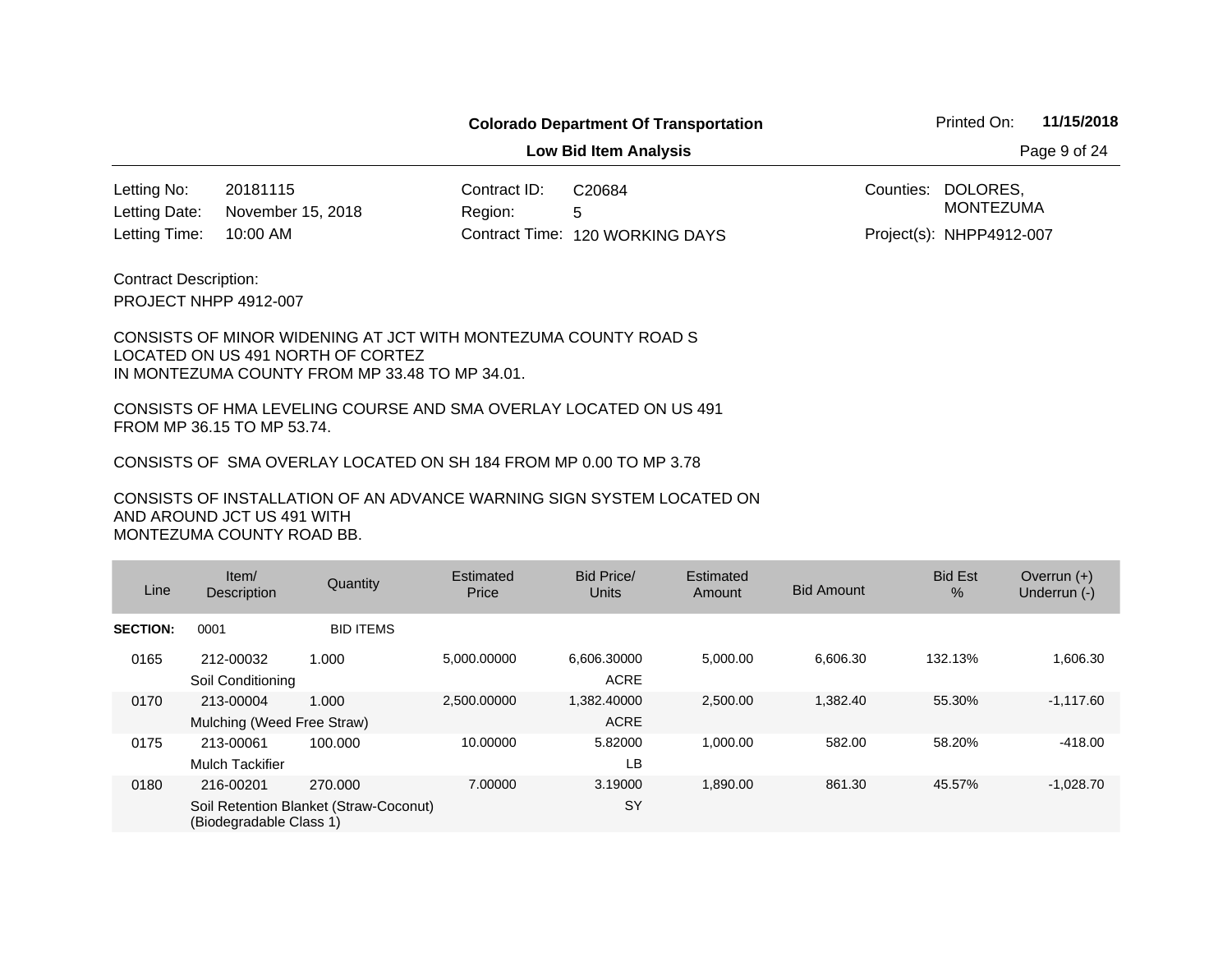**Low Bid Item Analysis Page 9 of 24** 

20181115 Contract ID: 10:00 AM November 15, 2018 Letting No: Letting Date:

Region: 5 120 WORKING DAYS Letting Time: Contract Time:C20684

Counties: DOLORES, Project(s): NHPP4912-007 MONTEZUMA

PROJECT NHPP 4912-007 Contract Description:

#### CONSISTS OF MINOR WIDENING AT JCT WITH MONTEZUMA COUNTY ROAD S LOCATED ON US 491 NORTH OF CORTEZ IN MONTEZUMA COUNTY FROM MP 33.48 TO MP 34.01.

CONSISTS OF HMA LEVELING COURSE AND SMA OVERLAY LOCATED ON US 491 FROM MP 36.15 TO MP 53.74.

CONSISTS OF SMA OVERLAY LOCATED ON SH 184 FROM MP 0.00 TO MP 3.78

| Line            | Item/<br><b>Description</b>             | Quantity                                          | Estimated<br>Price | Bid Price/<br><b>Units</b> | Estimated<br>Amount | <b>Bid Amount</b> | <b>Bid Est</b><br>$\%$ | Overrun $(+)$<br>Underrun (-) |
|-----------------|-----------------------------------------|---------------------------------------------------|--------------------|----------------------------|---------------------|-------------------|------------------------|-------------------------------|
| <b>SECTION:</b> | 0001                                    | <b>BID ITEMS</b>                                  |                    |                            |                     |                   |                        |                               |
| 0165            | 212-00032<br>Soil Conditioning          | 1.000                                             | 5,000.00000        | 6,606.30000<br><b>ACRE</b> | 5,000.00            | 6,606.30          | 132.13%                | .606.30                       |
| 0170            | 213-00004<br>Mulching (Weed Free Straw) | 1.000                                             | 2.500.00000        | 1,382.40000<br><b>ACRE</b> | 2,500.00            | 1,382.40          | 55.30%                 | $-1,117.60$                   |
| 0175            | 213-00061<br><b>Mulch Tackifier</b>     | 100.000                                           | 10.00000           | 5.82000<br>LВ              | 1,000.00            | 582.00            | 58.20%                 | $-418.00$                     |
| 0180            | 216-00201<br>(Biodegradable Class 1)    | 270.000<br>Soil Retention Blanket (Straw-Coconut) | 7.00000            | 3.19000<br>SY              | 1,890.00            | 861.30            | 45.57%                 | $-1,028.70$                   |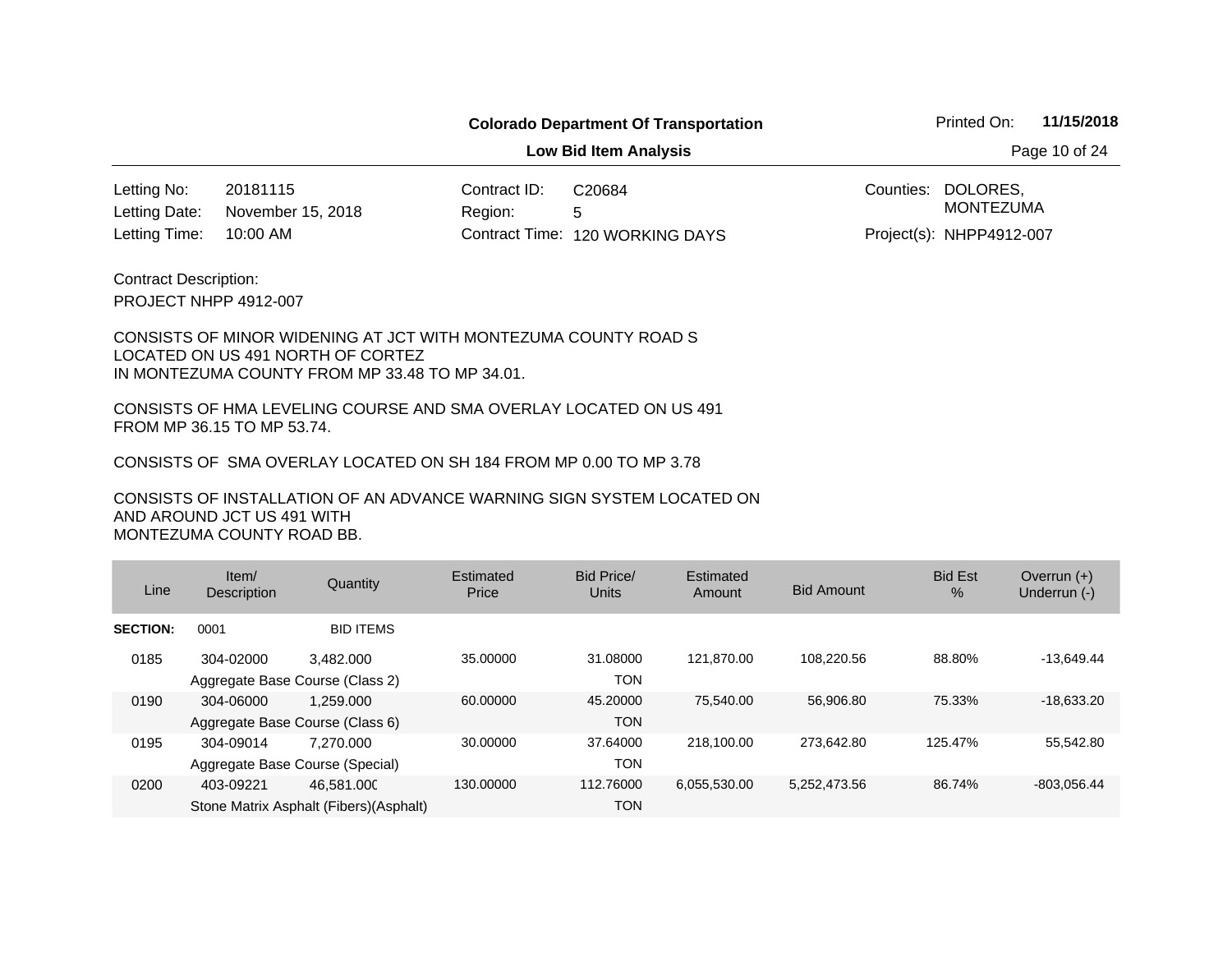**Low Bid Item Analysis Page 10 of 24** 

20181115 Contract ID: 10:00 AM November 15, 2018 Letting No: Letting Date:

Region: 5 120 WORKING DAYS Letting Time: Contract Time:C20684

Counties: DOLORES, MONTEZUMA

Project(s): NHPP4912-007

PROJECT NHPP 4912-007 Contract Description:

#### CONSISTS OF MINOR WIDENING AT JCT WITH MONTEZUMA COUNTY ROAD S LOCATED ON US 491 NORTH OF CORTEZ IN MONTEZUMA COUNTY FROM MP 33.48 TO MP 34.01.

CONSISTS OF HMA LEVELING COURSE AND SMA OVERLAY LOCATED ON US 491 FROM MP 36.15 TO MP 53.74.

CONSISTS OF SMA OVERLAY LOCATED ON SH 184 FROM MP 0.00 TO MP 3.78

| Line            | Item/<br>Description                         | Quantity                                              | Estimated<br>Price | Bid Price/<br>Units    | Estimated<br>Amount | <b>Bid Amount</b> | <b>Bid Est</b><br>$\%$ | Overrun $(+)$<br>Underrun (-) |
|-----------------|----------------------------------------------|-------------------------------------------------------|--------------------|------------------------|---------------------|-------------------|------------------------|-------------------------------|
| <b>SECTION:</b> | 0001                                         | <b>BID ITEMS</b>                                      |                    |                        |                     |                   |                        |                               |
| 0185            | 304-02000<br>Aggregate Base Course (Class 2) | 3.482,000                                             | 35.00000           | 31.08000<br><b>TON</b> | 121.870.00          | 108.220.56        | 88.80%                 | $-13,649.44$                  |
| 0190            | 304-06000<br>Aggregate Base Course (Class 6) | 1.259.000                                             | 60.00000           | 45.20000<br><b>TON</b> | 75.540.00           | 56,906.80         | 75.33%                 | $-18,633.20$                  |
| 0195            | 304-09014<br>Aggregate Base Course (Special) | 7.270.000                                             | 30.00000           | 37.64000<br><b>TON</b> | 218.100.00          | 273.642.80        | 125.47%                | 55,542.80                     |
| 0200            | 403-09221                                    | 46.581.000<br>Stone Matrix Asphalt (Fibers) (Asphalt) | 130.00000          | 112,76000<br>TON       | 6,055,530.00        | 5,252,473.56      | 86.74%                 | $-803.056.44$                 |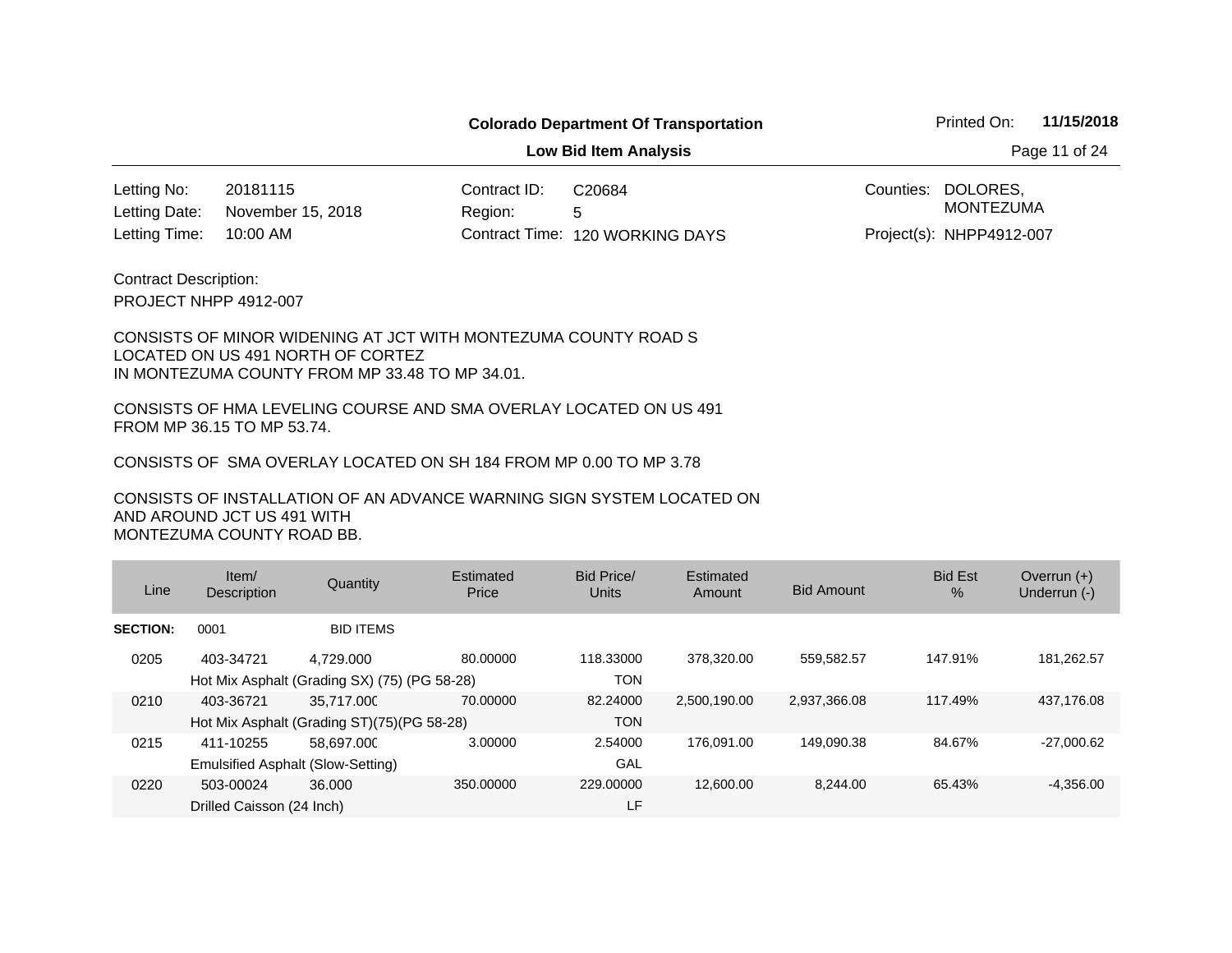**Low Bid Item Analysis Page 11 of 24** 

20181115 Contract ID: 10:00 AM 120 WORKING DAYS Letting Time: Contract Time:November 15, 2018 Letting No: Letting Date:

Region: 5 C20684

Counties: DOLORES, Project(s): NHPP4912-007 MONTEZUMA

PROJECT NHPP 4912-007 Contract Description:

#### CONSISTS OF MINOR WIDENING AT JCT WITH MONTEZUMA COUNTY ROAD S LOCATED ON US 491 NORTH OF CORTEZ IN MONTEZUMA COUNTY FROM MP 33.48 TO MP 34.01.

CONSISTS OF HMA LEVELING COURSE AND SMA OVERLAY LOCATED ON US 491 FROM MP 36.15 TO MP 53.74.

CONSISTS OF SMA OVERLAY LOCATED ON SH 184 FROM MP 0.00 TO MP 3.78

| Line            | Item/<br><b>Description</b>                    | Quantity                                                  | Estimated<br>Price | Bid Price/<br>Units     | Estimated<br>Amount | <b>Bid Amount</b> | <b>Bid Est</b><br>$\frac{9}{6}$ | Overrun $(+)$<br>Underrun (-) |
|-----------------|------------------------------------------------|-----------------------------------------------------------|--------------------|-------------------------|---------------------|-------------------|---------------------------------|-------------------------------|
| <b>SECTION:</b> | 0001                                           | <b>BID ITEMS</b>                                          |                    |                         |                     |                   |                                 |                               |
| 0205            | 403-34721                                      | 4.729.000<br>Hot Mix Asphalt (Grading SX) (75) (PG 58-28) | 80.00000           | 118.33000<br><b>TON</b> | 378.320.00          | 559,582.57        | 147.91%                         | 181,262.57                    |
| 0210            | 403-36721                                      | 35.717.000<br>Hot Mix Asphalt (Grading ST)(75)(PG 58-28)  | 70.00000           | 82.24000<br><b>TON</b>  | 2,500,190.00        | 2,937,366.08      | 117.49%                         | 437,176.08                    |
| 0215            | 411-10255<br>Emulsified Asphalt (Slow-Setting) | 58.697.000                                                | 3.00000            | 2.54000<br>GAL          | 176.091.00          | 149,090.38        | 84.67%                          | $-27,000.62$                  |
| 0220            | 503-00024<br>Drilled Caisson (24 Inch)         | 36,000                                                    | 350,00000          | 229,00000<br>LF         | 12,600.00           | 8,244.00          | 65.43%                          | $-4,356.00$                   |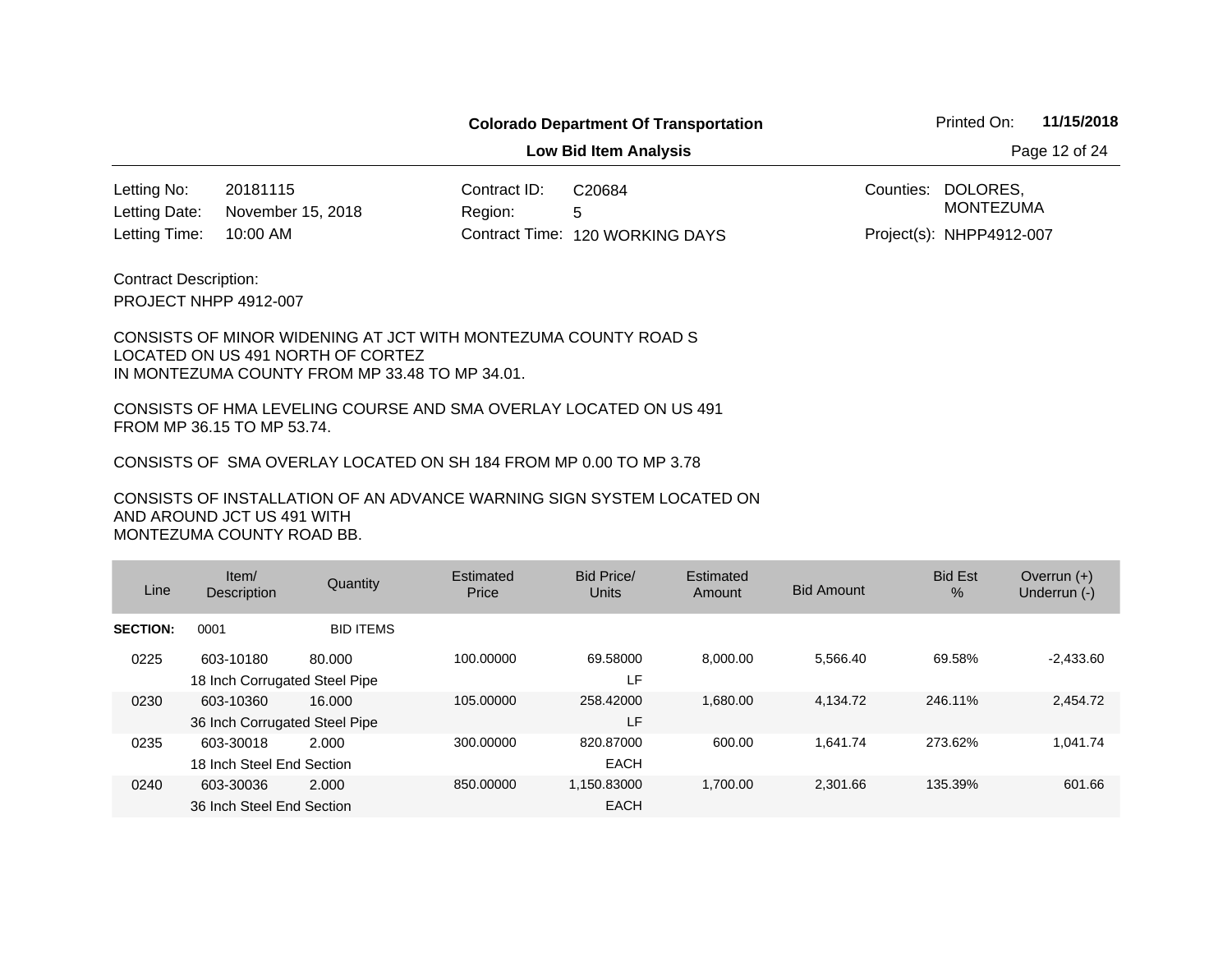**Low Bid Item Analysis Page 12 of 24** 

20181115 Contract ID: 10:00 AM 120 WORKING DAYS Letting Time: Contract Time:November 15, 2018 Letting No: Letting Date:

Region: 5 C20684

Counties: DOLORES, Project(s): NHPP4912-007 MONTEZUMA

PROJECT NHPP 4912-007 Contract Description:

#### CONSISTS OF MINOR WIDENING AT JCT WITH MONTEZUMA COUNTY ROAD S LOCATED ON US 491 NORTH OF CORTEZ IN MONTEZUMA COUNTY FROM MP 33.48 TO MP 34.01.

CONSISTS OF HMA LEVELING COURSE AND SMA OVERLAY LOCATED ON US 491 FROM MP 36.15 TO MP 53.74.

CONSISTS OF SMA OVERLAY LOCATED ON SH 184 FROM MP 0.00 TO MP 3.78

| Line            | Item/<br>Description                       | Quantity         | Estimated<br>Price | Bid Price/<br>Units        | Estimated<br>Amount | <b>Bid Amount</b> | <b>Bid Est</b><br>% | Overrun $(+)$<br>Underrun (-) |
|-----------------|--------------------------------------------|------------------|--------------------|----------------------------|---------------------|-------------------|---------------------|-------------------------------|
| <b>SECTION:</b> | 0001                                       | <b>BID ITEMS</b> |                    |                            |                     |                   |                     |                               |
| 0225            | 603-10180<br>18 Inch Corrugated Steel Pipe | 80.000           | 100.00000          | 69.58000<br>LF.            | 8.000.00            | 5.566.40          | 69.58%              | $-2,433.60$                   |
| 0230            | 603-10360<br>36 Inch Corrugated Steel Pipe | 16.000           | 105.00000          | 258.42000<br>LF            | 1,680.00            | 4.134.72          | 246.11%             | 2,454.72                      |
| 0235            | 603-30018<br>18 Inch Steel End Section     | 2.000            | 300.00000          | 820.87000<br><b>EACH</b>   | 600.00              | 1.641.74          | 273.62%             | 1.041.74                      |
| 0240            | 603-30036<br>36 Inch Steel End Section     | 2.000            | 850.00000          | 1.150.83000<br><b>EACH</b> | 1.700.00            | 2.301.66          | 135.39%             | 601.66                        |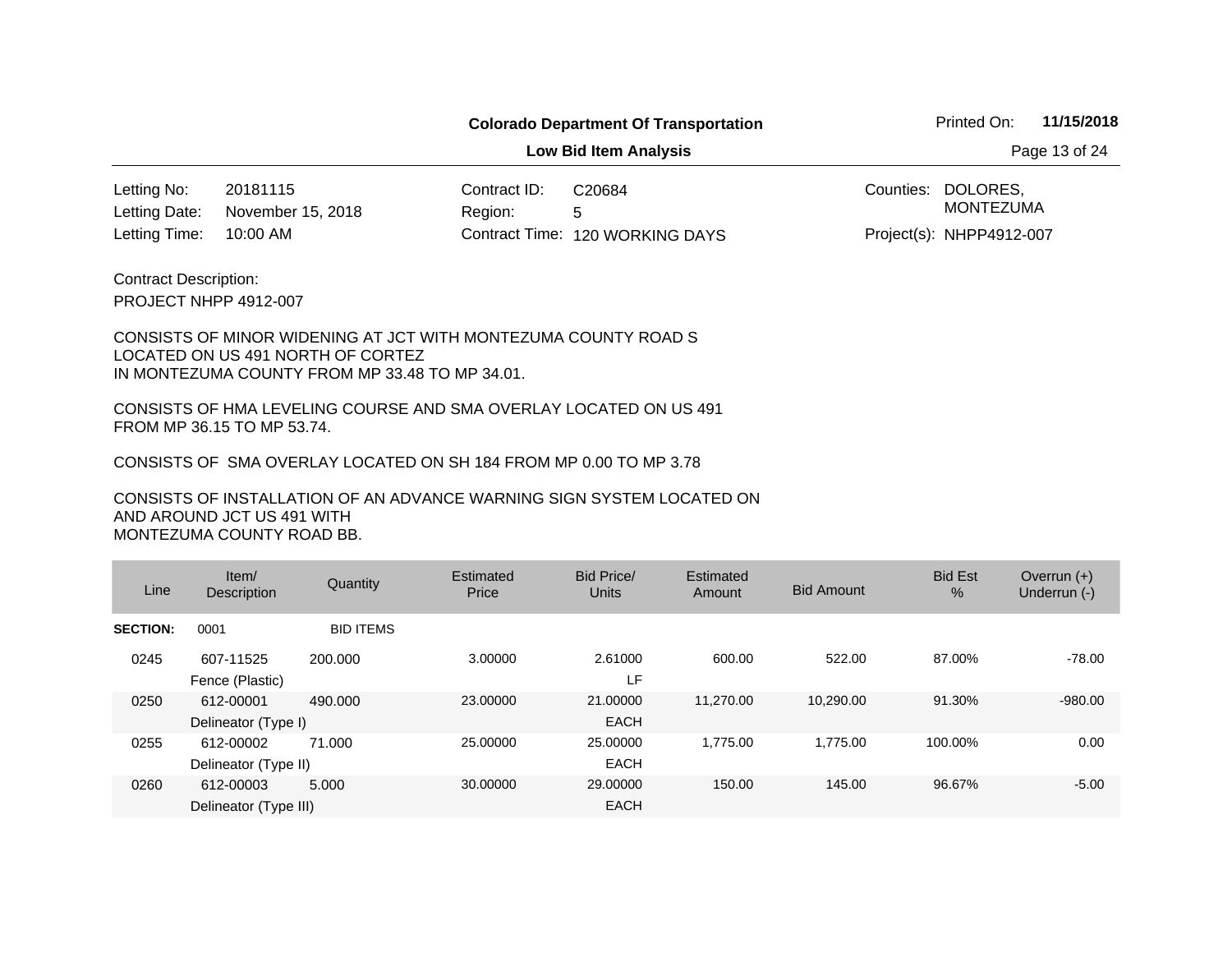**Low Bid Item Analysis Page 13 of 24** 

20181115 Contract ID: 10:00 AM November 15, 2018 Letting No: Letting Date:

Region: 5 120 WORKING DAYS Letting Time: Contract Time:C20684

Counties: DOLORES, Project(s): NHPP4912-007 MONTEZUMA

PROJECT NHPP 4912-007 Contract Description:

#### CONSISTS OF MINOR WIDENING AT JCT WITH MONTEZUMA COUNTY ROAD S LOCATED ON US 491 NORTH OF CORTEZ IN MONTEZUMA COUNTY FROM MP 33.48 TO MP 34.01.

CONSISTS OF HMA LEVELING COURSE AND SMA OVERLAY LOCATED ON US 491 FROM MP 36.15 TO MP 53.74.

CONSISTS OF SMA OVERLAY LOCATED ON SH 184 FROM MP 0.00 TO MP 3.78

| Line            | Item/<br>Description               | Quantity         | Estimated<br>Price | Bid Price/<br><b>Units</b> | Estimated<br>Amount | <b>Bid Amount</b> | <b>Bid Est</b><br>$\frac{0}{0}$ | Overrun $(+)$<br>Underrun (-) |
|-----------------|------------------------------------|------------------|--------------------|----------------------------|---------------------|-------------------|---------------------------------|-------------------------------|
| <b>SECTION:</b> | 0001                               | <b>BID ITEMS</b> |                    |                            |                     |                   |                                 |                               |
| 0245            | 607-11525<br>Fence (Plastic)       | 200.000          | 3.00000            | 2.61000<br>LF              | 600.00              | 522.00            | 87.00%                          | $-78.00$                      |
| 0250            | 612-00001<br>Delineator (Type I)   | 490.000          | 23,00000           | 21.00000<br><b>EACH</b>    | 11.270.00           | 10,290.00         | 91.30%                          | $-980.00$                     |
| 0255            | 612-00002<br>Delineator (Type II)  | 71.000           | 25,00000           | 25,00000<br><b>EACH</b>    | 1.775.00            | 1.775.00          | 100.00%                         | 0.00                          |
| 0260            | 612-00003<br>Delineator (Type III) | 5.000            | 30.00000           | 29,00000<br><b>EACH</b>    | 150.00              | 145.00            | 96.67%                          | $-5.00$                       |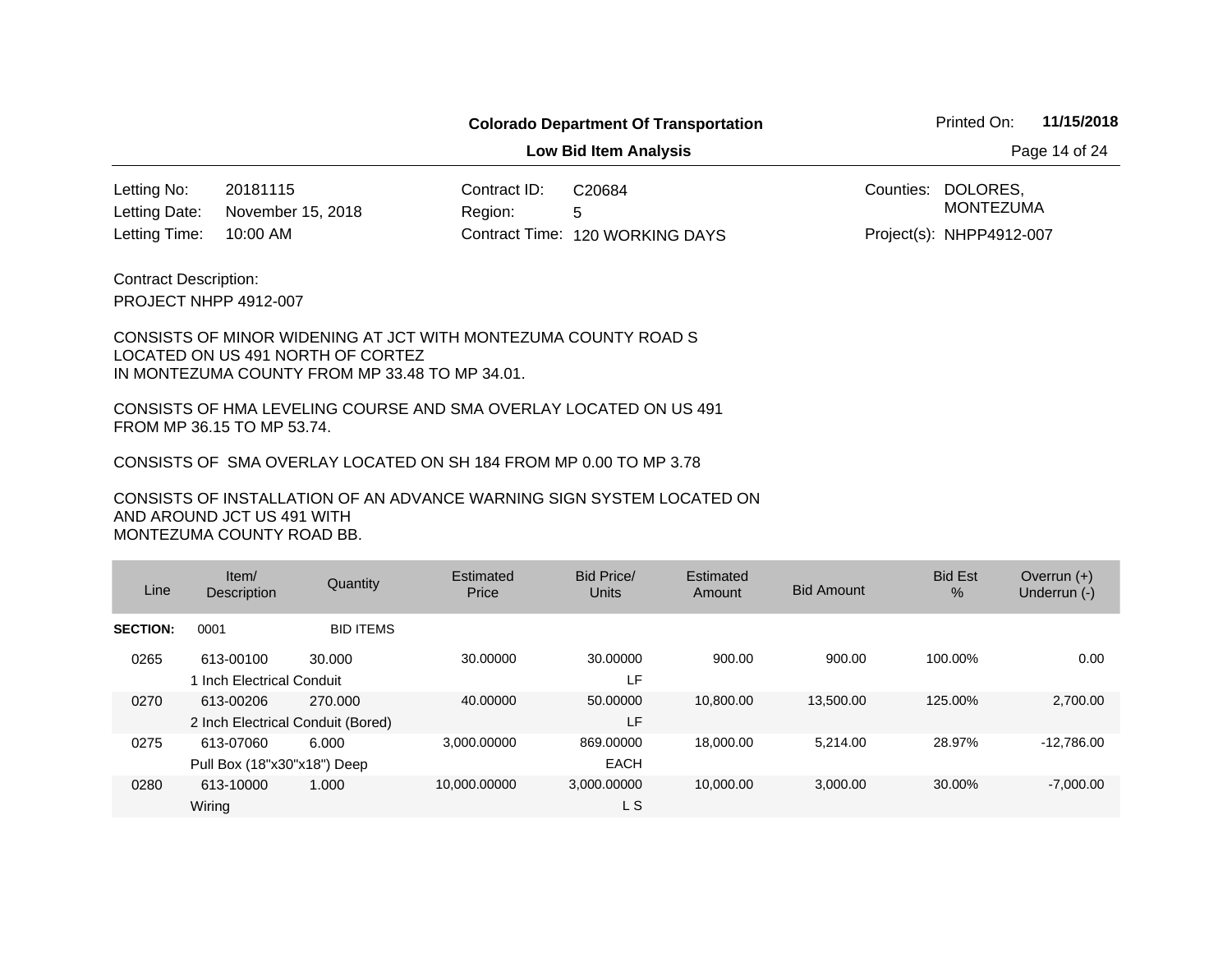**Low Bid Item Analysis Page 14 of 24** 

20181115 Contract ID: 10:00 AM November 15, 2018 Letting No: Letting Date:

Region: 5 120 WORKING DAYS Letting Time: Contract Time:C20684

Counties: DOLORES, MONTEZUMA

Project(s): NHPP4912-007

PROJECT NHPP 4912-007 Contract Description:

#### CONSISTS OF MINOR WIDENING AT JCT WITH MONTEZUMA COUNTY ROAD S LOCATED ON US 491 NORTH OF CORTEZ IN MONTEZUMA COUNTY FROM MP 33.48 TO MP 34.01.

CONSISTS OF HMA LEVELING COURSE AND SMA OVERLAY LOCATED ON US 491 FROM MP 36.15 TO MP 53.74.

CONSISTS OF SMA OVERLAY LOCATED ON SH 184 FROM MP 0.00 TO MP 3.78

| Line            | Item/<br><b>Description</b>                    | Quantity         | Estimated<br>Price | Bid Price/<br>Units      | Estimated<br>Amount | <b>Bid Amount</b> | <b>Bid Est</b><br>$\%$ | Overrun $(+)$<br>Underrun (-) |
|-----------------|------------------------------------------------|------------------|--------------------|--------------------------|---------------------|-------------------|------------------------|-------------------------------|
| <b>SECTION:</b> | 0001                                           | <b>BID ITEMS</b> |                    |                          |                     |                   |                        |                               |
| 0265            | 613-00100<br>1 Inch Electrical Conduit         | 30.000           | 30.00000           | 30.00000<br>LF.          | 900.00              | 900.00            | 100.00%                | 0.00                          |
| 0270            | 613-00206<br>2 Inch Electrical Conduit (Bored) | 270.000          | 40.00000           | 50.00000<br>LF           | 10,800,00           | 13.500.00         | 125.00%                | 2,700.00                      |
| 0275            | 613-07060<br>Pull Box (18"x30"x18") Deep       | 6.000            | 3.000.00000        | 869,00000<br><b>EACH</b> | 18,000,00           | 5.214.00          | 28.97%                 | $-12.786.00$                  |
| 0280            | 613-10000<br>Wiring                            | 1.000            | 10.000.00000       | 3.000.00000<br>L S       | 10.000.00           | 3,000.00          | 30.00%                 | $-7,000.00$                   |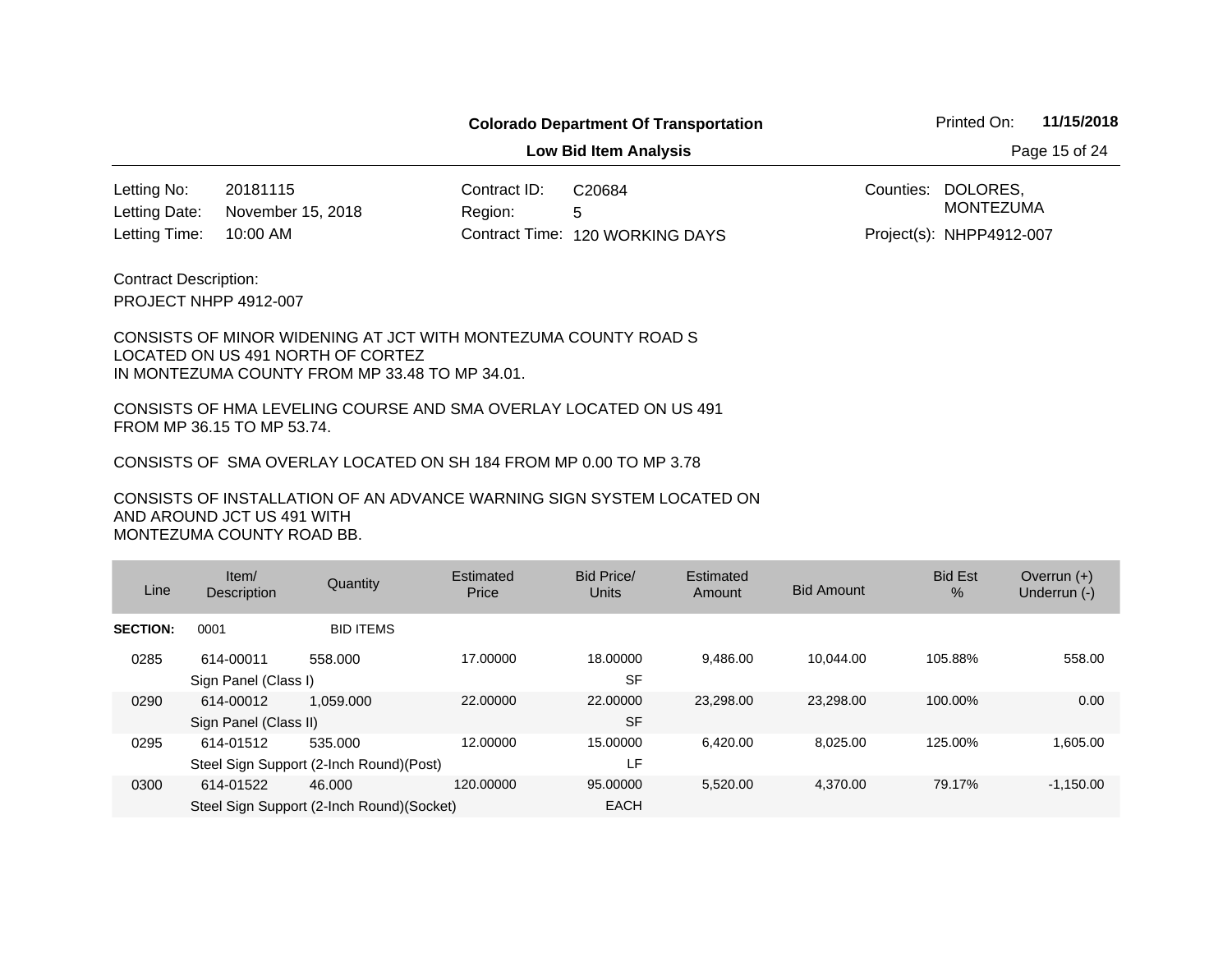**Low Bid Item Analysis Page 15 of 24** 

20181115 Contract ID: 10:00 AM November 15, 2018 Letting No: Letting Date:

Region: 5 120 WORKING DAYS Letting Time: Contract Time:C20684

Counties: DOLORES, MONTEZUMA

Project(s): NHPP4912-007

PROJECT NHPP 4912-007 Contract Description:

#### CONSISTS OF MINOR WIDENING AT JCT WITH MONTEZUMA COUNTY ROAD S LOCATED ON US 491 NORTH OF CORTEZ IN MONTEZUMA COUNTY FROM MP 33.48 TO MP 34.01.

CONSISTS OF HMA LEVELING COURSE AND SMA OVERLAY LOCATED ON US 491 FROM MP 36.15 TO MP 53.74.

CONSISTS OF SMA OVERLAY LOCATED ON SH 184 FROM MP 0.00 TO MP 3.78

| Line            | Item/<br>Description               | Quantity                                            | Estimated<br>Price | Bid Price/<br><b>Units</b> | Estimated<br>Amount | <b>Bid Amount</b> | <b>Bid Est</b><br>$\%$ | Overrun $(+)$<br>Underrun (-) |
|-----------------|------------------------------------|-----------------------------------------------------|--------------------|----------------------------|---------------------|-------------------|------------------------|-------------------------------|
| <b>SECTION:</b> | 0001                               | <b>BID ITEMS</b>                                    |                    |                            |                     |                   |                        |                               |
| 0285            | 614-00011<br>Sign Panel (Class I)  | 558,000                                             | 17.00000           | 18.00000<br><b>SF</b>      | 9.486.00            | 10.044.00         | 105.88%                | 558.00                        |
| 0290            | 614-00012<br>Sign Panel (Class II) | 1.059.000                                           | 22,00000           | 22,00000<br><b>SF</b>      | 23.298.00           | 23.298.00         | 100.00%                | 0.00                          |
| 0295            | 614-01512                          | 535.000<br>Steel Sign Support (2-Inch Round)(Post)  | 12.00000           | 15,00000<br>LF             | 6.420.00            | 8.025.00          | 125.00%                | 1.605.00                      |
| 0300            | 614-01522                          | 46,000<br>Steel Sign Support (2-Inch Round)(Socket) | 120.00000          | 95.00000<br><b>EACH</b>    | 5,520.00            | 4.370.00          | 79.17%                 | $-1,150.00$                   |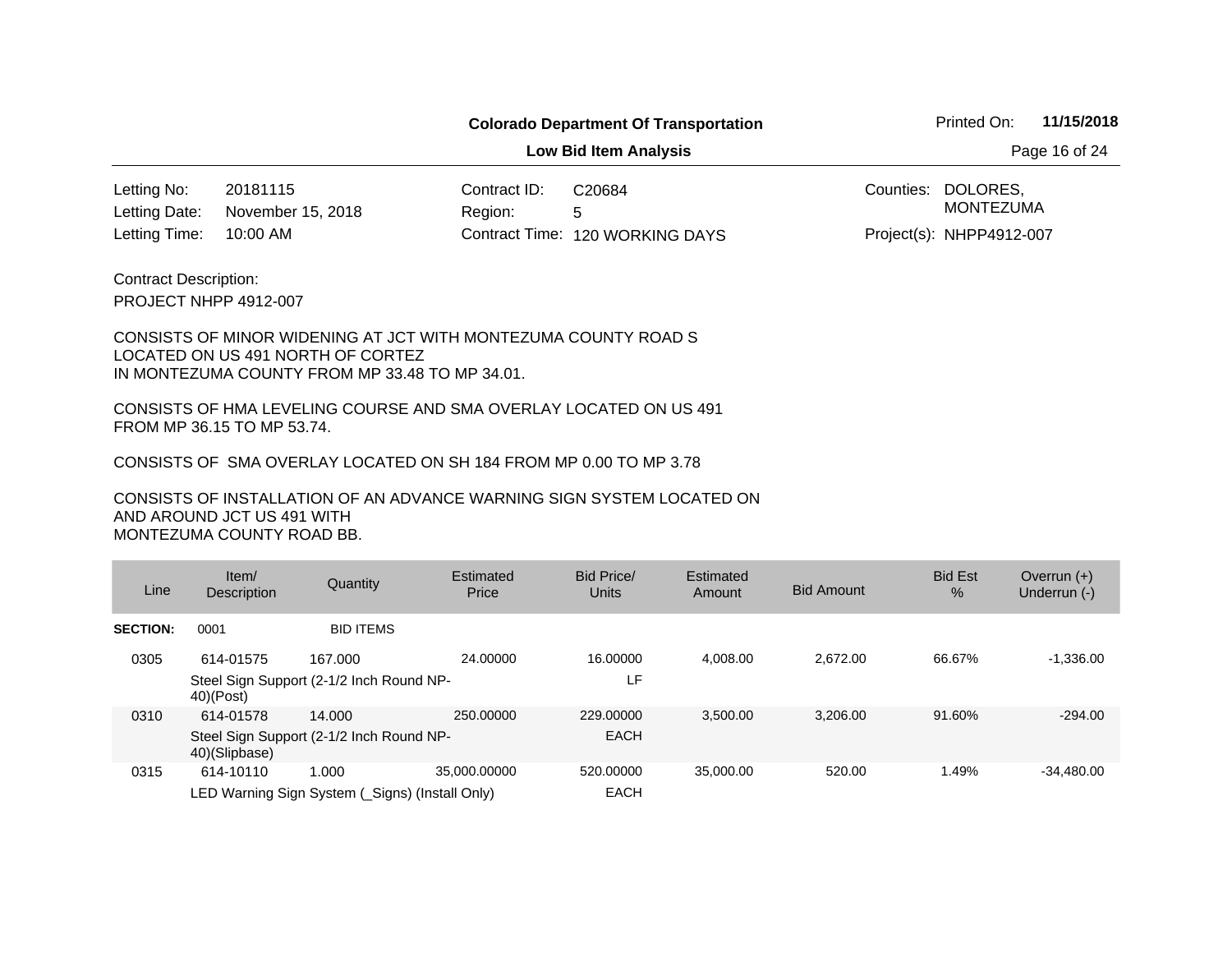**Low Bid Item Analysis Page 16 of 24** 

20181115 Contract ID: 10:00 AM November 15, 2018 Letting No: Letting Date:

Region: 5 120 WORKING DAYS Letting Time: Contract Time:C20684

Counties: DOLORES, Project(s): NHPP4912-007 MONTEZUMA

PROJECT NHPP 4912-007 Contract Description:

#### CONSISTS OF MINOR WIDENING AT JCT WITH MONTEZUMA COUNTY ROAD S LOCATED ON US 491 NORTH OF CORTEZ IN MONTEZUMA COUNTY FROM MP 33.48 TO MP 34.01.

CONSISTS OF HMA LEVELING COURSE AND SMA OVERLAY LOCATED ON US 491 FROM MP 36.15 TO MP 53.74.

CONSISTS OF SMA OVERLAY LOCATED ON SH 184 FROM MP 0.00 TO MP 3.78

| Line            | Item/<br><b>Description</b> | Quantity                                                 | Estimated<br>Price | Bid Price/<br>Units      | Estimated<br>Amount | <b>Bid Amount</b> | <b>Bid Est</b><br>$\frac{9}{6}$ | Overrun $(+)$<br>Underrun (-) |
|-----------------|-----------------------------|----------------------------------------------------------|--------------------|--------------------------|---------------------|-------------------|---------------------------------|-------------------------------|
| <b>SECTION:</b> | 0001                        | <b>BID ITEMS</b>                                         |                    |                          |                     |                   |                                 |                               |
| 0305            | 614-01575                   | 167.000                                                  | 24.00000           | 16.00000                 | 4.008.00            | 2.672.00          | 66.67%                          | $-1,336.00$                   |
|                 | $40$ $(Post)$               | Steel Sign Support (2-1/2 Inch Round NP-                 |                    | LF.                      |                     |                   |                                 |                               |
| 0310            | 614-01578                   | 14.000                                                   | 250,00000          | 229,00000                | 3.500.00            | 3.206.00          | 91.60%                          | $-294.00$                     |
|                 | 40)(Slipbase)               | Steel Sign Support (2-1/2 Inch Round NP-                 |                    | <b>EACH</b>              |                     |                   |                                 |                               |
| 0315            | 614-10110                   | 1.000<br>LED Warning Sign System (_Signs) (Install Only) | 35.000.00000       | 520,00000<br><b>EACH</b> | 35,000,00           | 520.00            | 1.49%                           | -34.480.00                    |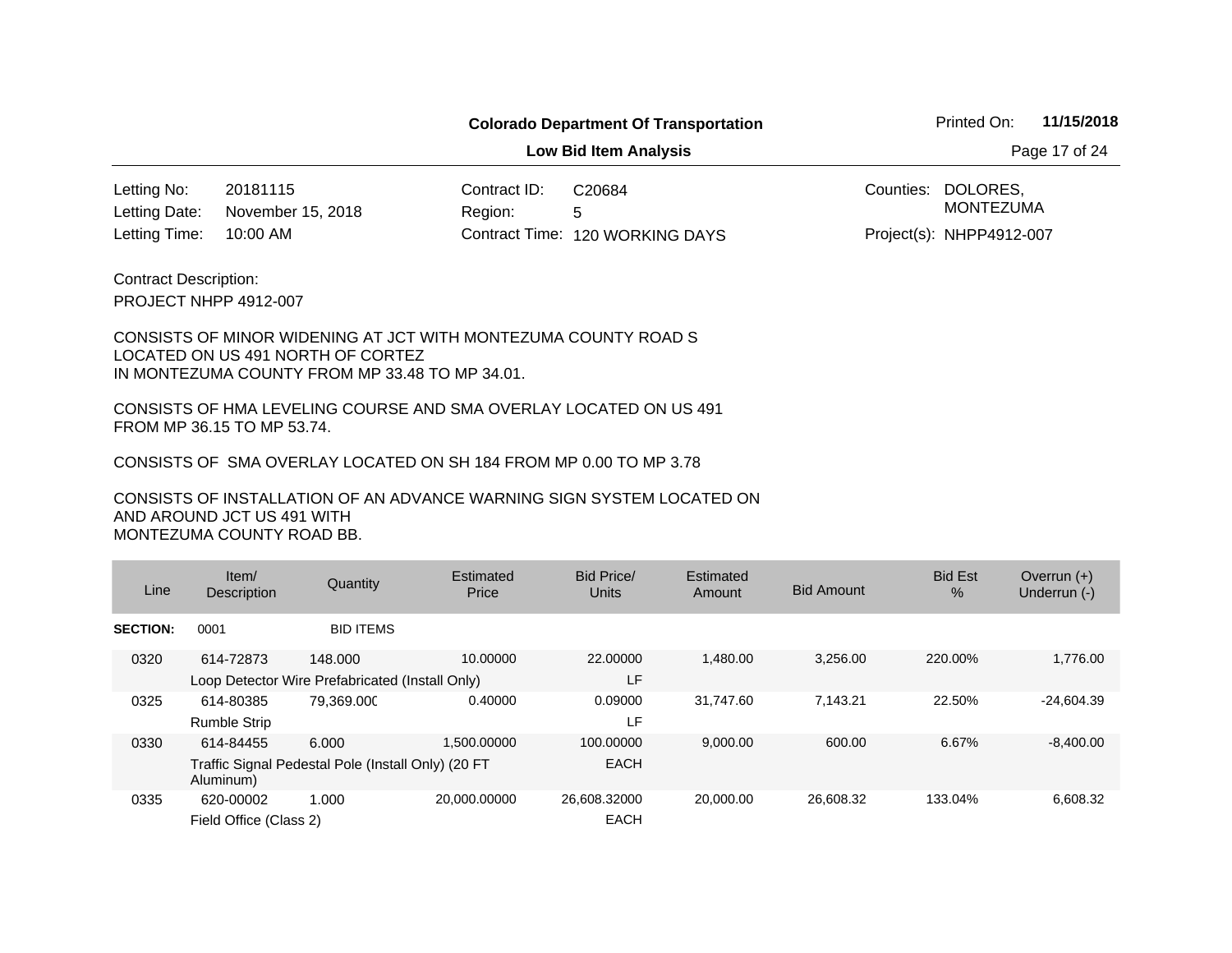**Low Bid Item Analysis Page 17 of 24** 

20181115 Contract ID: 10:00 AM November 15, 2018 Letting No: Letting Date:

Region: 5 120 WORKING DAYS Letting Time: Contract Time:C20684

Counties: DOLORES, MONTEZUMA

Project(s): NHPP4912-007

PROJECT NHPP 4912-007 Contract Description:

#### CONSISTS OF MINOR WIDENING AT JCT WITH MONTEZUMA COUNTY ROAD S LOCATED ON US 491 NORTH OF CORTEZ IN MONTEZUMA COUNTY FROM MP 33.48 TO MP 34.01.

CONSISTS OF HMA LEVELING COURSE AND SMA OVERLAY LOCATED ON US 491 FROM MP 36.15 TO MP 53.74.

CONSISTS OF SMA OVERLAY LOCATED ON SH 184 FROM MP 0.00 TO MP 3.78

CONSISTS OF INSTALLATION OF AN ADVANCE WARNING SIGN SYSTEM LOCATED ON AND AROUND JCT US 491 WITH MONTEZUMA COUNTY ROAD BB.

| Line            | Item/<br><b>Description</b> | Quantity                                           | Estimated<br>Price | Bid Price/<br><b>Units</b> | Estimated<br>Amount | <b>Bid Amount</b> | <b>Bid Est</b><br>$\%$ | Overrun $(+)$<br>Underrun (-) |
|-----------------|-----------------------------|----------------------------------------------------|--------------------|----------------------------|---------------------|-------------------|------------------------|-------------------------------|
| <b>SECTION:</b> | 0001                        | <b>BID ITEMS</b>                                   |                    |                            |                     |                   |                        |                               |
| 0320            | 614-72873                   | 148.000                                            | 10.00000           | 22,00000                   | 1,480.00            | 3,256.00          | 220.00%                | 1,776.00                      |
|                 |                             | Loop Detector Wire Prefabricated (Install Only)    |                    | LF                         |                     |                   |                        |                               |
| 0325            | 614-80385                   | 79.369.000                                         | 0.40000            | 0.09000                    | 31.747.60           | 7.143.21          | 22.50%                 | $-24.604.39$                  |
|                 | <b>Rumble Strip</b>         |                                                    |                    | LF                         |                     |                   |                        |                               |
| 0330            | 614-84455                   | 6.000                                              | 1.500.00000        | 100.00000                  | 9,000.00            | 600.00            | 6.67%                  | $-8,400.00$                   |
|                 | Aluminum)                   | Traffic Signal Pedestal Pole (Install Only) (20 FT |                    | <b>EACH</b>                |                     |                   |                        |                               |
| 0335            | 620-00002                   | 1.000                                              | 20,000.00000       | 26,608.32000               | 20,000.00           | 26,608.32         | 133.04%                | 6,608.32                      |
|                 | Field Office (Class 2)      |                                                    |                    | <b>EACH</b>                |                     |                   |                        |                               |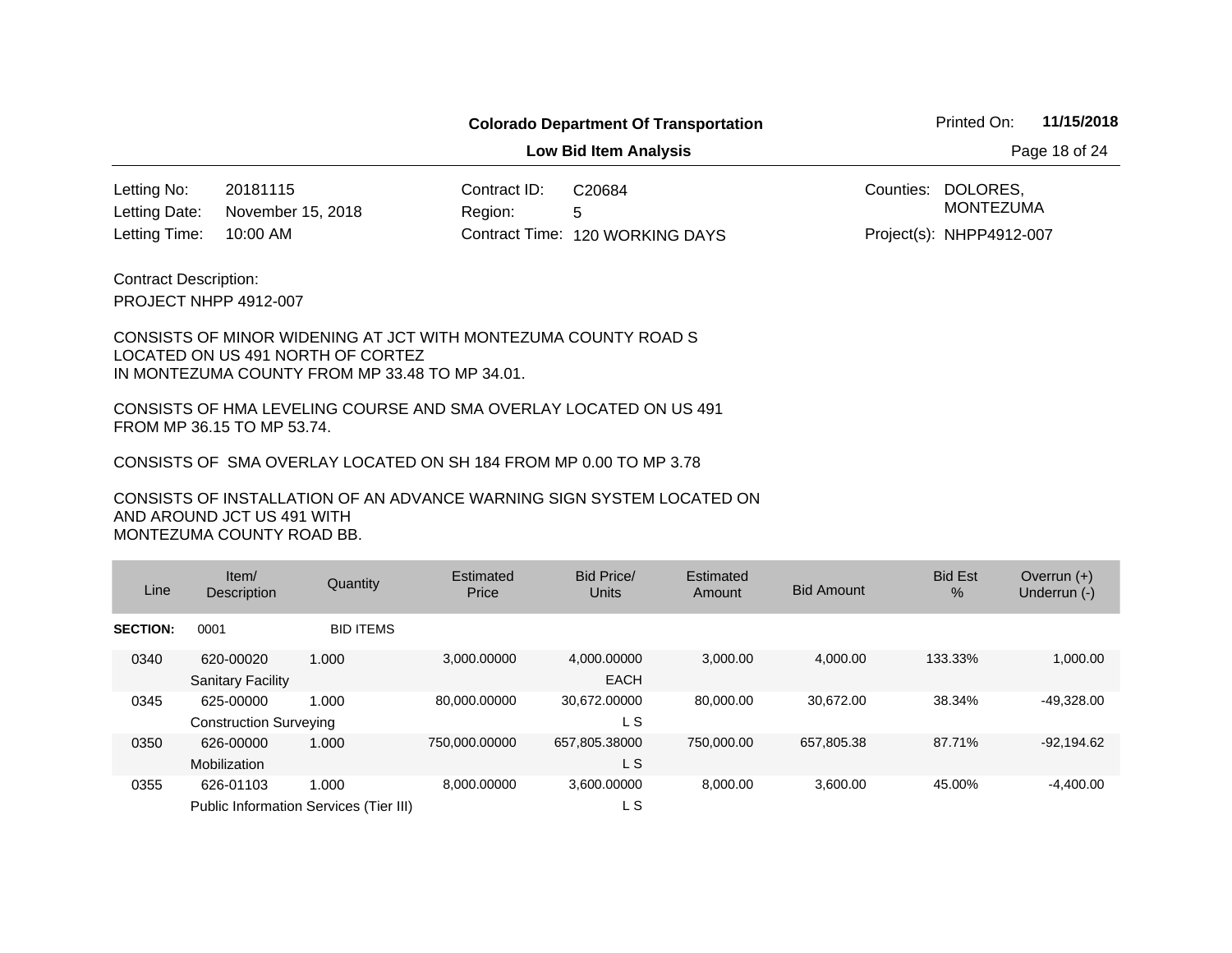**Low Bid Item Analysis Page 18 of 24** 

20181115 Contract ID: 10:00 AM November 15, 2018 Letting No: Letting Date:

Region: 5 120 WORKING DAYS Letting Time: Contract Time:C20684

Counties: DOLORES, Project(s): NHPP4912-007 MONTEZUMA

PROJECT NHPP 4912-007 Contract Description:

#### CONSISTS OF MINOR WIDENING AT JCT WITH MONTEZUMA COUNTY ROAD S LOCATED ON US 491 NORTH OF CORTEZ IN MONTEZUMA COUNTY FROM MP 33.48 TO MP 34.01.

CONSISTS OF HMA LEVELING COURSE AND SMA OVERLAY LOCATED ON US 491 FROM MP 36.15 TO MP 53.74.

CONSISTS OF SMA OVERLAY LOCATED ON SH 184 FROM MP 0.00 TO MP 3.78

| Line            | Item $/$<br>Description                    | Quantity                                        | Estimated<br>Price | Bid Price/<br><b>Units</b> | Estimated<br>Amount | <b>Bid Amount</b> | <b>Bid Est</b><br>% | Overrun $(+)$<br>Underrun (-) |
|-----------------|--------------------------------------------|-------------------------------------------------|--------------------|----------------------------|---------------------|-------------------|---------------------|-------------------------------|
| <b>SECTION:</b> | 0001                                       | <b>BID ITEMS</b>                                |                    |                            |                     |                   |                     |                               |
| 0340            | 620-00020<br><b>Sanitary Facility</b>      | 1.000                                           | 3,000.00000        | 4,000.00000<br><b>EACH</b> | 3,000.00            | 4.000.00          | 133.33%             | 1,000.00                      |
| 0345            | 625-00000<br><b>Construction Surveying</b> | 1.000                                           | 80,000.00000       | 30,672.00000<br>L S        | 80,000.00           | 30.672.00         | 38.34%              | $-49,328.00$                  |
| 0350            | 626-00000<br>Mobilization                  | 1.000                                           | 750,000.00000      | 657,805.38000<br>L S       | 750,000,00          | 657,805.38        | 87.71%              | $-92,194.62$                  |
| 0355            | 626-01103                                  | 1.000<br>Public Information Services (Tier III) | 8.000.00000        | 3.600.00000<br>L S         | 8.000.00            | 3,600.00          | 45.00%              | $-4,400.00$                   |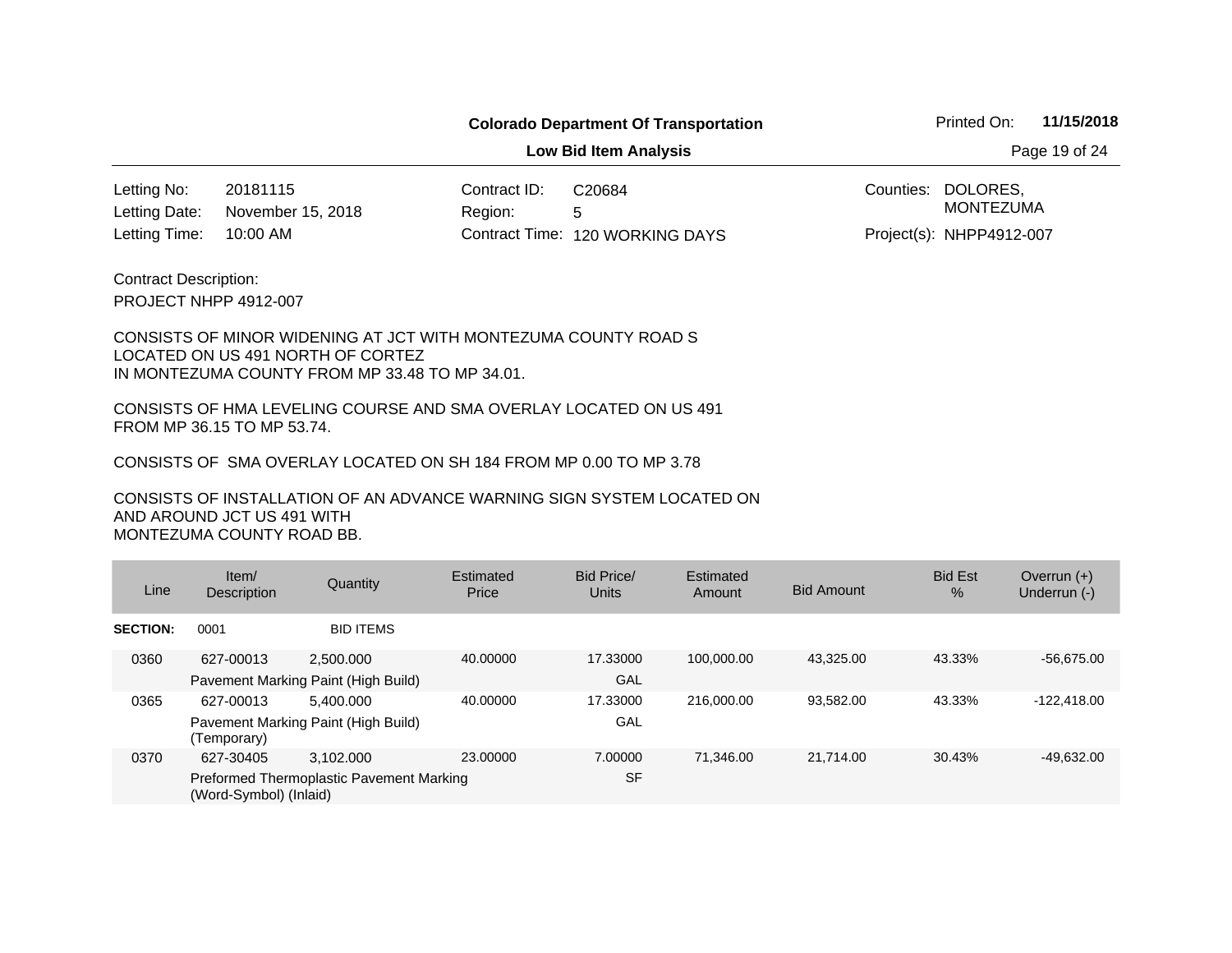**Low Bid Item Analysis Page 19 of 24** 

20181115 Contract ID: 10:00 AM November 15, 2018 Letting No: Letting Date:

Region: 5 120 WORKING DAYS Letting Time: Contract Time:C20684

Counties: DOLORES, Project(s): NHPP4912-007 MONTEZUMA

PROJECT NHPP 4912-007 Contract Description:

#### CONSISTS OF MINOR WIDENING AT JCT WITH MONTEZUMA COUNTY ROAD S LOCATED ON US 491 NORTH OF CORTEZ IN MONTEZUMA COUNTY FROM MP 33.48 TO MP 34.01.

CONSISTS OF HMA LEVELING COURSE AND SMA OVERLAY LOCATED ON US 491 FROM MP 36.15 TO MP 53.74.

CONSISTS OF SMA OVERLAY LOCATED ON SH 184 FROM MP 0.00 TO MP 3.78

| Line            | Item/<br>Description   | Quantity                                 | Estimated<br>Price | Bid Price/<br>Units | Estimated<br>Amount | <b>Bid Amount</b> | <b>Bid Est</b><br>$\%$ | Overrun $(+)$<br>Underrun (-) |
|-----------------|------------------------|------------------------------------------|--------------------|---------------------|---------------------|-------------------|------------------------|-------------------------------|
| <b>SECTION:</b> | 0001                   | <b>BID ITEMS</b>                         |                    |                     |                     |                   |                        |                               |
| 0360            | 627-00013              | 2.500.000                                | 40.00000           | 17.33000            | 100.000.00          | 43.325.00         | 43.33%                 | $-56,675.00$                  |
|                 |                        | Pavement Marking Paint (High Build)      |                    | GAL                 |                     |                   |                        |                               |
| 0365            | 627-00013              | 5.400.000                                | 40.00000           | 17.33000            | 216,000,00          | 93.582.00         | 43.33%                 | $-122.418.00$                 |
|                 | (Temporary)            | Pavement Marking Paint (High Build)      |                    | GAL                 |                     |                   |                        |                               |
| 0370            | 627-30405              | 3.102.000                                | 23.00000           | 7.00000             | 71.346.00           | 21.714.00         | 30.43%                 | $-49.632.00$                  |
|                 | (Word-Symbol) (Inlaid) | Preformed Thermoplastic Pavement Marking |                    | <b>SF</b>           |                     |                   |                        |                               |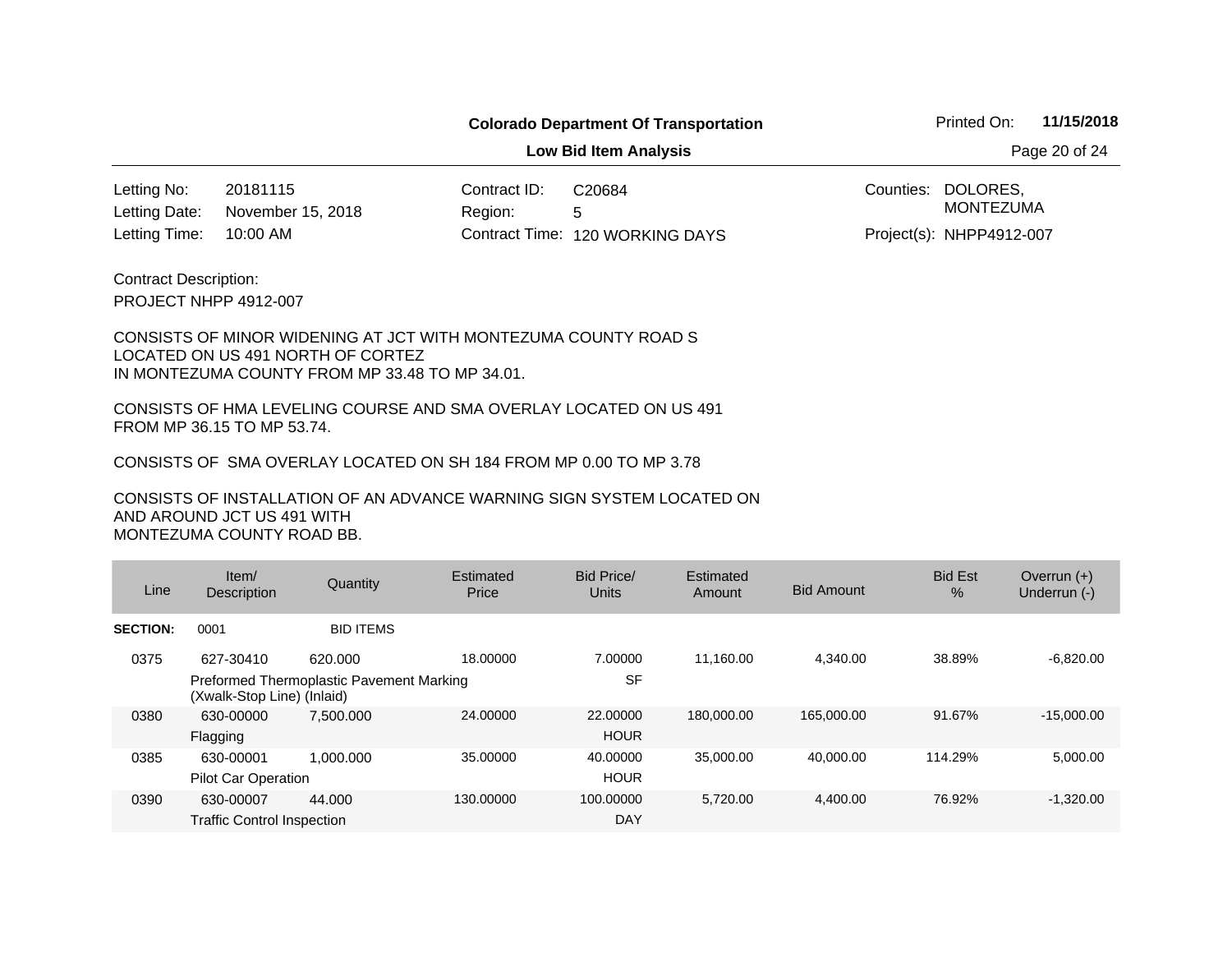**Low Bid Item Analysis Page 20 of 24** 

20181115 Contract ID: 10:00 AM November 15, 2018 Letting No: Letting Date:

Region: 5 120 WORKING DAYS Letting Time: Contract Time:C20684

Counties: DOLORES, MONTEZUMA

Project(s): NHPP4912-007

PROJECT NHPP 4912-007 Contract Description:

#### CONSISTS OF MINOR WIDENING AT JCT WITH MONTEZUMA COUNTY ROAD S LOCATED ON US 491 NORTH OF CORTEZ IN MONTEZUMA COUNTY FROM MP 33.48 TO MP 34.01.

CONSISTS OF HMA LEVELING COURSE AND SMA OVERLAY LOCATED ON US 491 FROM MP 36.15 TO MP 53.74.

CONSISTS OF SMA OVERLAY LOCATED ON SH 184 FROM MP 0.00 TO MP 3.78

| Line            | Item/<br>Description                                                   | Quantity         | Estimated<br>Price | <b>Bid Price/</b><br><b>Units</b> | Estimated<br>Amount | <b>Bid Amount</b> | <b>Bid Est</b><br>% | Overrun $(+)$<br>Underrun (-) |
|-----------------|------------------------------------------------------------------------|------------------|--------------------|-----------------------------------|---------------------|-------------------|---------------------|-------------------------------|
| <b>SECTION:</b> | 0001                                                                   | <b>BID ITEMS</b> |                    |                                   |                     |                   |                     |                               |
| 0375            | 627-30410                                                              | 620,000          | 18.00000           | 7.00000                           | 11.160.00           | 4,340.00          | 38.89%              | $-6,820.00$                   |
|                 | Preformed Thermoplastic Pavement Marking<br>(Xwalk-Stop Line) (Inlaid) |                  |                    | <b>SF</b>                         |                     |                   |                     |                               |
| 0380            | 630-00000                                                              | 7.500.000        | 24.00000           | 22,00000                          | 180,000.00          | 165,000.00        | 91.67%              | $-15,000.00$                  |
|                 | Flagging                                                               |                  |                    | <b>HOUR</b>                       |                     |                   |                     |                               |
| 0385            | 630-00001                                                              | 1.000.000        | 35.00000           | 40.00000                          | 35,000,00           | 40.000.00         | 114.29%             | 5,000.00                      |
|                 | <b>Pilot Car Operation</b>                                             |                  |                    | <b>HOUR</b>                       |                     |                   |                     |                               |
| 0390            | 630-00007                                                              | 44.000           | 130,00000          | 100.00000                         | 5.720.00            | 4,400.00          | 76.92%              | $-1,320.00$                   |
|                 | <b>Traffic Control Inspection</b>                                      |                  |                    | DAY                               |                     |                   |                     |                               |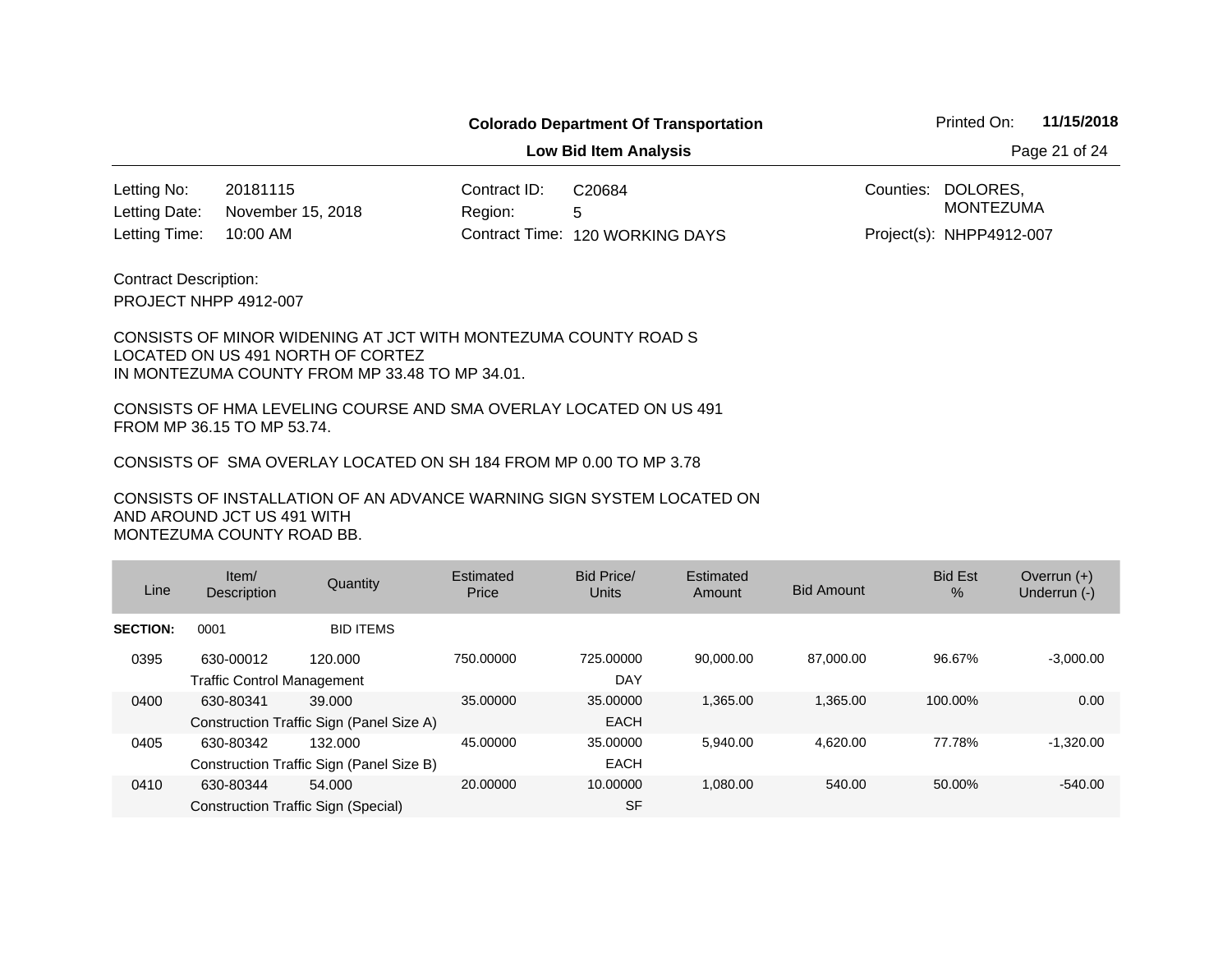**Low Bid Item Analysis Page 21 of 24** 

20181115 Contract ID: 10:00 AM November 15, 2018 Letting No: Letting Date:

Region: 5 120 WORKING DAYS Letting Time: Contract Time:C20684

Counties: DOLORES, Project(s): NHPP4912-007 MONTEZUMA

PROJECT NHPP 4912-007 Contract Description:

#### CONSISTS OF MINOR WIDENING AT JCT WITH MONTEZUMA COUNTY ROAD S LOCATED ON US 491 NORTH OF CORTEZ IN MONTEZUMA COUNTY FROM MP 33.48 TO MP 34.01.

CONSISTS OF HMA LEVELING COURSE AND SMA OVERLAY LOCATED ON US 491 FROM MP 36.15 TO MP 53.74.

CONSISTS OF SMA OVERLAY LOCATED ON SH 184 FROM MP 0.00 TO MP 3.78

| Line            | Item/<br>Description                           | Quantity                                             | Estimated<br>Price | Bid Price/<br><b>Units</b> | Estimated<br>Amount | <b>Bid Amount</b> | <b>Bid Est</b><br>$\%$ | Overrun $(+)$<br>Underrun (-) |
|-----------------|------------------------------------------------|------------------------------------------------------|--------------------|----------------------------|---------------------|-------------------|------------------------|-------------------------------|
| <b>SECTION:</b> | 0001                                           | <b>BID ITEMS</b>                                     |                    |                            |                     |                   |                        |                               |
| 0395            | 630-00012<br><b>Traffic Control Management</b> | 120.000                                              | 750,00000          | 725,00000<br>DAY           | 90.000.00           | 87.000.00         | 96.67%                 | $-3,000.00$                   |
| 0400            | 630-80341                                      | 39.000<br>Construction Traffic Sign (Panel Size A)   | 35,00000           | 35,00000<br><b>EACH</b>    | 1,365.00            | 1.365.00          | 100.00%                | 0.00                          |
| 0405            | 630-80342                                      | 132.000<br>Construction Traffic Sign (Panel Size B)  | 45.00000           | 35,00000<br><b>EACH</b>    | 5.940.00            | 4.620.00          | 77.78%                 | $-1,320.00$                   |
| 0410            | 630-80344                                      | 54.000<br><b>Construction Traffic Sign (Special)</b> | 20.00000           | 10.00000<br><b>SF</b>      | 1.080.00            | 540.00            | 50.00%                 | $-540.00$                     |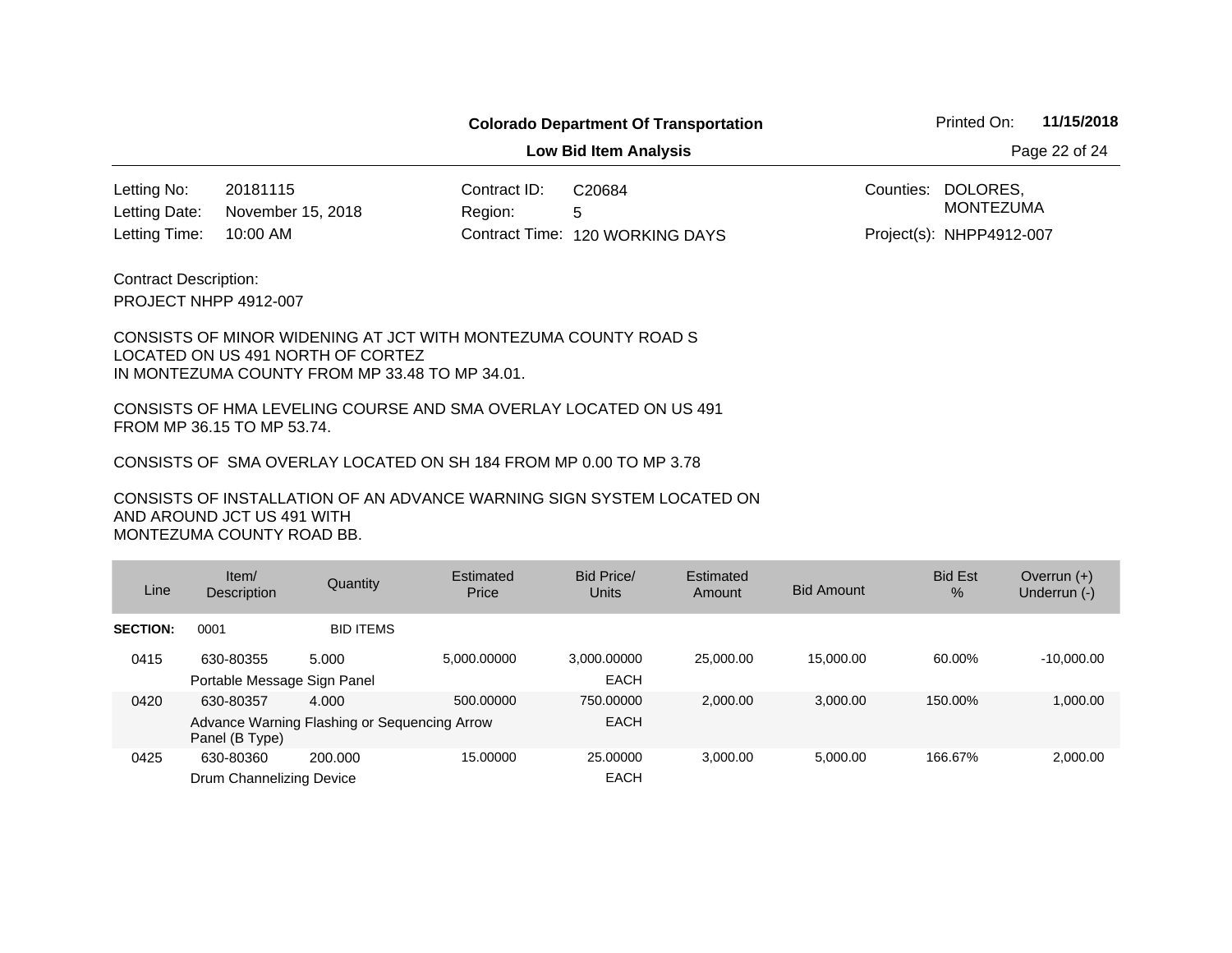**Low Bid Item Analysis Page 22 of 24** 

20181115 Contract ID: 10:00 AM 120 WORKING DAYS Letting Time: Contract Time:November 15, 2018 Letting No: Letting Date:

Region: 5 C20684

Counties: DOLORES, Project(s): NHPP4912-007 MONTEZUMA

PROJECT NHPP 4912-007 Contract Description:

#### CONSISTS OF MINOR WIDENING AT JCT WITH MONTEZUMA COUNTY ROAD S LOCATED ON US 491 NORTH OF CORTEZ IN MONTEZUMA COUNTY FROM MP 33.48 TO MP 34.01.

CONSISTS OF HMA LEVELING COURSE AND SMA OVERLAY LOCATED ON US 491 FROM MP 36.15 TO MP 53.74.

CONSISTS OF SMA OVERLAY LOCATED ON SH 184 FROM MP 0.00 TO MP 3.78

| Line            | Item/<br><b>Description</b>              | Quantity                                              | Estimated<br>Price | Bid Price/<br>Units        | Estimated<br>Amount | <b>Bid Amount</b> | <b>Bid Est</b><br>$\%$ | Overrun $(+)$<br>Underrun (-) |
|-----------------|------------------------------------------|-------------------------------------------------------|--------------------|----------------------------|---------------------|-------------------|------------------------|-------------------------------|
| <b>SECTION:</b> | 0001                                     | <b>BID ITEMS</b>                                      |                    |                            |                     |                   |                        |                               |
| 0415            | 630-80355<br>Portable Message Sign Panel | 5.000                                                 | 5.000.00000        | 3.000.00000<br><b>EACH</b> | 25,000,00           | 15,000.00         | 60.00%                 | $-10.000.00$                  |
| 0420            | 630-80357<br>Panel (B Type)              | 4.000<br>Advance Warning Flashing or Sequencing Arrow | 500.00000          | 750,00000<br><b>EACH</b>   | 2.000.00            | 3,000.00          | 150.00%                | 1,000.00                      |
| 0425            | 630-80360<br>Drum Channelizing Device    | 200.000                                               | 15.00000           | 25,00000<br><b>EACH</b>    | 3.000.00            | 5,000.00          | 166.67%                | 2,000.00                      |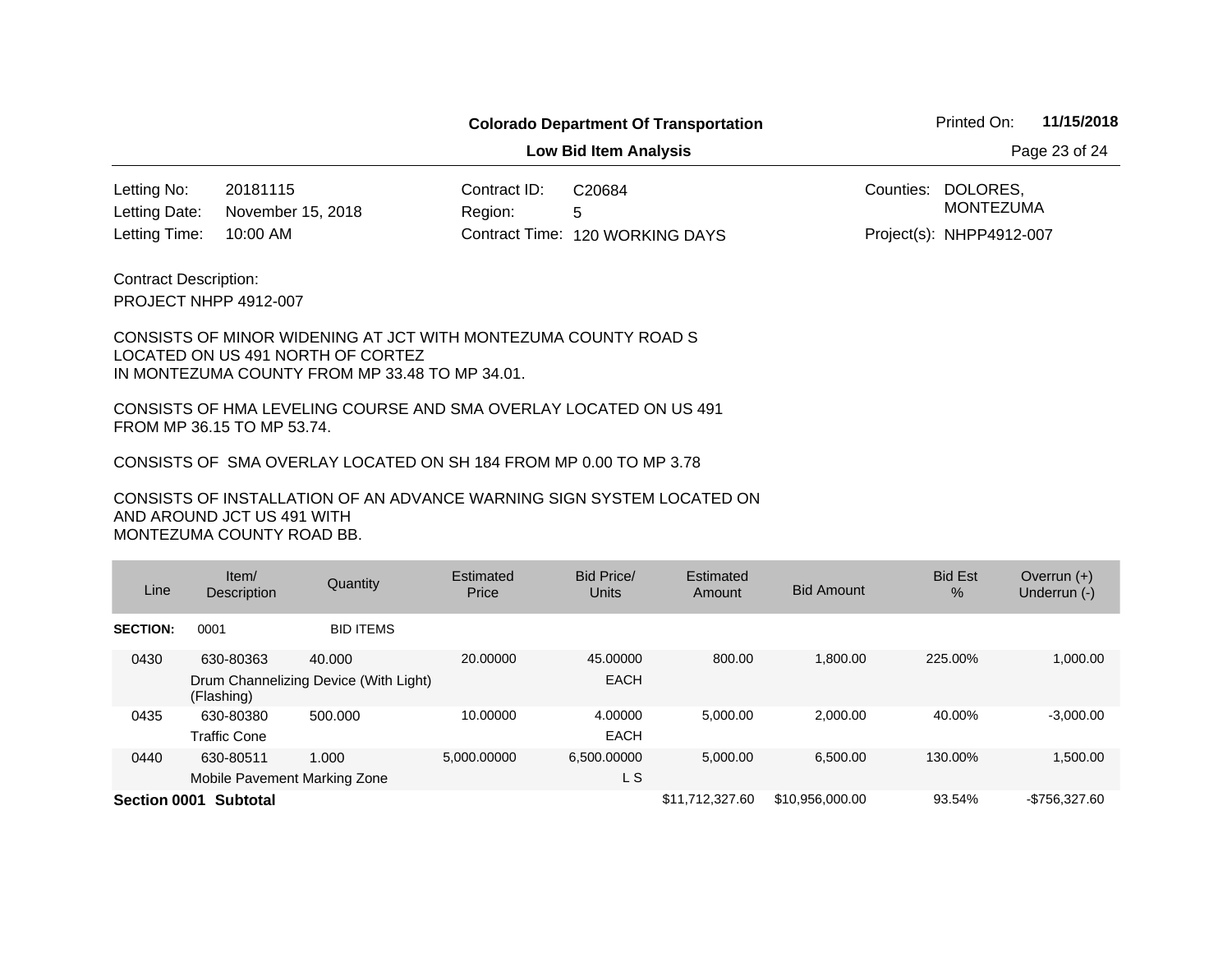**Low Bid Item Analysis Page 23 of 24** 

20181115 Contract ID: 10:00 AM November 15, 2018 Letting No: Letting Date:

Region: 5 120 WORKING DAYS Letting Time: Contract Time:C20684

Counties: DOLORES, MONTEZUMA

Project(s): NHPP4912-007

PROJECT NHPP 4912-007 Contract Description:

CONSISTS OF MINOR WIDENING AT JCT WITH MONTEZUMA COUNTY ROAD S LOCATED ON US 491 NORTH OF CORTEZ IN MONTEZUMA COUNTY FROM MP 33.48 TO MP 34.01.

CONSISTS OF HMA LEVELING COURSE AND SMA OVERLAY LOCATED ON US 491 FROM MP 36.15 TO MP 53.74.

CONSISTS OF SMA OVERLAY LOCATED ON SH 184 FROM MP 0.00 TO MP 3.78

| Line            | Item/<br>Description                      | Quantity                                        | Estimated<br>Price | <b>Bid Price/</b><br>Units | Estimated<br>Amount | <b>Bid Amount</b> | <b>Bid Est</b><br>$\frac{9}{6}$ | Overrun $(+)$<br>Underrun (-) |
|-----------------|-------------------------------------------|-------------------------------------------------|--------------------|----------------------------|---------------------|-------------------|---------------------------------|-------------------------------|
| <b>SECTION:</b> | 0001                                      | <b>BID ITEMS</b>                                |                    |                            |                     |                   |                                 |                               |
| 0430            | 630-80363<br>(Flashing)                   | 40,000<br>Drum Channelizing Device (With Light) | 20,00000           | 45.00000<br><b>EACH</b>    | 800.00              | 1.800.00          | 225.00%                         | 1,000.00                      |
| 0435            | 630-80380<br><b>Traffic Cone</b>          | 500,000                                         | 10.00000           | 4.00000<br><b>EACH</b>     | 5.000.00            | 2.000.00          | 40.00%                          | $-3.000.00$                   |
| 0440            | 630-80511<br>Mobile Pavement Marking Zone | 1.000                                           | 5.000.00000        | 6,500.00000<br>L S         | 5.000.00            | 6,500.00          | 130.00%                         | 1,500.00                      |
| Section 0001    | <b>Subtotal</b>                           |                                                 |                    |                            | \$11.712.327.60     | \$10,956,000.00   | 93.54%                          | -\$756.327.60                 |